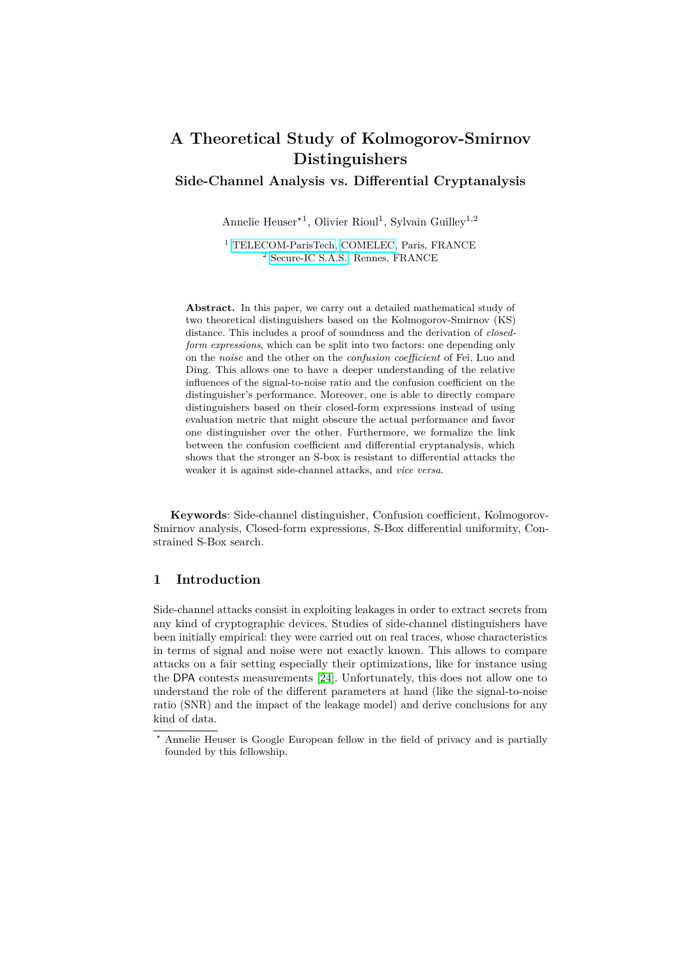# **A Theoretical Study of Kolmogorov-Smirnov Distinguishers**

# **Side-Channel Analysis vs. Differential Cryptanalysis**

Annelie Heuser<sup>\*1</sup>, Olivier Rioul<sup>1</sup>, Sylvain Guilley<sup>1,2</sup>

<sup>1</sup> [TELECOM-ParisTech,](http://www.telecom-paristech.fr/en/eng/home.html) [COMELEC,](http://www.comelec.enst.fr/recherche/sen.en) Paris, FRANCE <sup>2</sup> [Secure-IC S.A.S.,](http://www.Secure-IC.com/) Rennes, FRANCE

**Abstract.** In this paper, we carry out a detailed mathematical study of two theoretical distinguishers based on the Kolmogorov-Smirnov (KS) distance. This includes a proof of soundness and the derivation of *closedform expressions*, which can be split into two factors: one depending only on the *noise* and the other on the *confusion coefficient* of Fei, Luo and Ding. This allows one to have a deeper understanding of the relative influences of the signal-to-noise ratio and the confusion coefficient on the distinguisher's performance. Moreover, one is able to directly compare distinguishers based on their closed-form expressions instead of using evaluation metric that might obscure the actual performance and favor one distinguisher over the other. Furthermore, we formalize the link between the confusion coefficient and differential cryptanalysis, which shows that the stronger an S-box is resistant to differential attacks the weaker it is against side-channel attacks, and *vice versa*.

**Keywords**: Side-channel distinguisher, Confusion coefficient, Kolmogorov-Smirnov analysis, Closed-form expressions, S-Box differential uniformity, Constrained S-Box search.

# **1 Introduction**

Side-channel attacks consist in exploiting leakages in order to extract secrets from any kind of cryptographic devices. Studies of side-channel distinguishers have been initially empirical: they were carried out on real traces, whose characteristics in terms of signal and noise were not exactly known. This allows to compare attacks on a fair setting especially their optimizations, like for instance using the DPA contests measurements [\[24\]](#page-19-0). Unfortunately, this does not allow one to understand the role of the different parameters at hand (like the signal-to-noise ratio (SNR) and the impact of the leakage model) and derive conclusions for any kind of data.

*<sup>?</sup>* Annelie Heuser is Google European fellow in the field of privacy and is partially founded by this fellowship.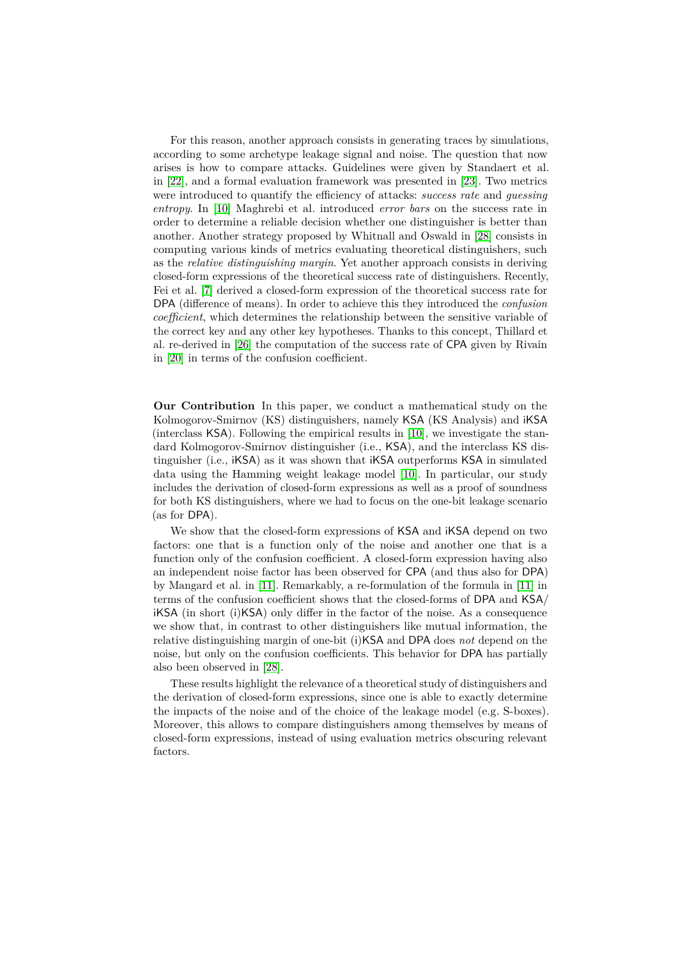For this reason, another approach consists in generating traces by simulations, according to some archetype leakage signal and noise. The question that now arises is how to compare attacks. Guidelines were given by Standaert et al. in [\[22\]](#page-19-1), and a formal evaluation framework was presented in [\[23\]](#page-19-2). Two metrics were introduced to quantify the efficiency of attacks: *success rate* and *guessing entropy*. In [\[10\]](#page-18-0) Maghrebi et al. introduced *error bars* on the success rate in order to determine a reliable decision whether one distinguisher is better than another. Another strategy proposed by Whitnall and Oswald in [\[28\]](#page-19-3) consists in computing various kinds of metrics evaluating theoretical distinguishers, such as the *relative distinguishing margin*. Yet another approach consists in deriving closed-form expressions of the theoretical success rate of distinguishers. Recently, Fei et al. [\[7\]](#page-18-1) derived a closed-form expression of the theoretical success rate for DPA (difference of means). In order to achieve this they introduced the *confusion coefficient*, which determines the relationship between the sensitive variable of the correct key and any other key hypotheses. Thanks to this concept, Thillard et al. re-derived in [\[26\]](#page-19-4) the computation of the success rate of CPA given by Rivain in [\[20\]](#page-19-5) in terms of the confusion coefficient.

**Our Contribution** In this paper, we conduct a mathematical study on the Kolmogorov-Smirnov (KS) distinguishers, namely KSA (KS Analysis) and iKSA (interclass KSA). Following the empirical results in [\[10\]](#page-18-0), we investigate the standard Kolmogorov-Smirnov distinguisher (i.e., KSA), and the interclass KS distinguisher (i.e., iKSA) as it was shown that iKSA outperforms KSA in simulated data using the Hamming weight leakage model [\[10\]](#page-18-0). In particular, our study includes the derivation of closed-form expressions as well as a proof of soundness for both KS distinguishers, where we had to focus on the one-bit leakage scenario (as for DPA).

We show that the closed-form expressions of KSA and iKSA depend on two factors: one that is a function only of the noise and another one that is a function only of the confusion coefficient. A closed-form expression having also an independent noise factor has been observed for CPA (and thus also for DPA) by Mangard et al. in [\[11\]](#page-18-2). Remarkably, a re-formulation of the formula in [\[11\]](#page-18-2) in terms of the confusion coefficient shows that the closed-forms of DPA and KSA/  $iKSA$  (in short (i) $KSA$ ) only differ in the factor of the noise. As a consequence we show that, in contrast to other distinguishers like mutual information, the relative distinguishing margin of one-bit (i)KSA and DPA does *not* depend on the noise, but only on the confusion coefficients. This behavior for DPA has partially also been observed in [\[28\]](#page-19-3).

These results highlight the relevance of a theoretical study of distinguishers and the derivation of closed-form expressions, since one is able to exactly determine the impacts of the noise and of the choice of the leakage model (e.g. S-boxes). Moreover, this allows to compare distinguishers among themselves by means of closed-form expressions, instead of using evaluation metrics obscuring relevant factors.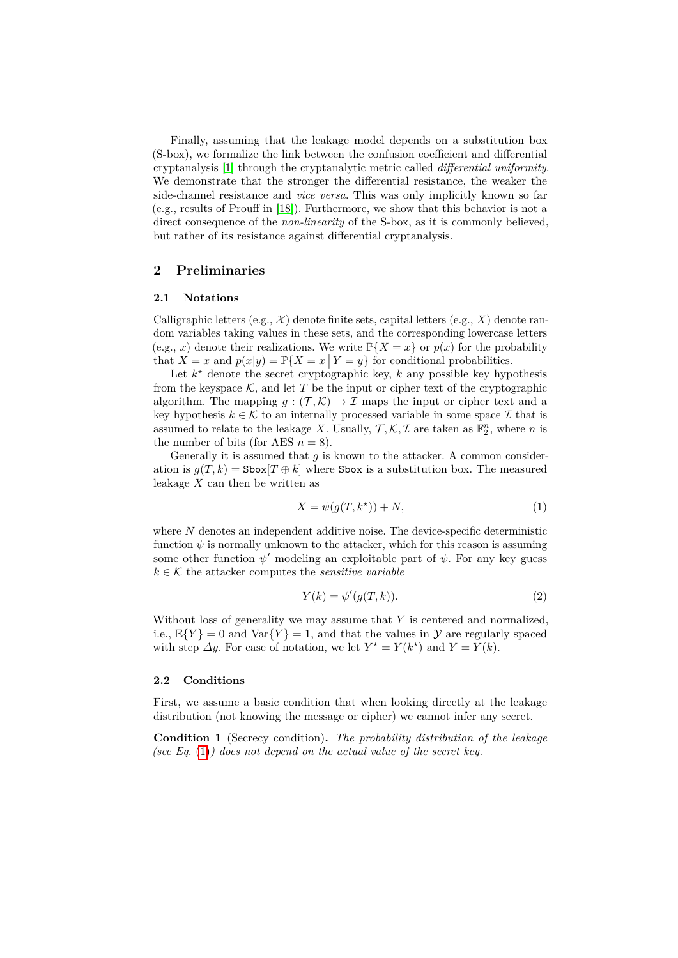Finally, assuming that the leakage model depends on a substitution box (S-box), we formalize the link between the confusion coefficient and differential cryptanalysis [\[1\]](#page-18-3) through the cryptanalytic metric called *differential uniformity*. We demonstrate that the stronger the differential resistance, the weaker the side-channel resistance and *vice versa*. This was only implicitly known so far (e.g., results of Prouff in [\[18\]](#page-19-6)). Furthermore, we show that this behavior is not a direct consequence of the *non-linearity* of the S-box, as it is commonly believed, but rather of its resistance against differential cryptanalysis.

# **2 Preliminaries**

#### **2.1 Notations**

Calligraphic letters (e.g.,  $\mathcal{X}$ ) denote finite sets, capital letters (e.g.,  $\mathcal{X}$ ) denote random variables taking values in these sets, and the corresponding lowercase letters (e.g., *x*) denote their realizations. We write  $\mathbb{P}\{X=x\}$  or  $p(x)$  for the probability that  $X = x$  and  $p(x|y) = \mathbb{P}\{X = x | Y = y\}$  for conditional probabilities.

Let  $k^*$  denote the secret cryptographic key,  $k$  any possible key hypothesis from the keyspace  $K$ , and let  $T$  be the input or cipher text of the cryptographic algorithm. The mapping  $g : (\mathcal{T}, \mathcal{K}) \to \mathcal{I}$  maps the input or cipher text and a key hypothesis  $k \in \mathcal{K}$  to an internally processed variable in some space  $\mathcal I$  that is assumed to relate to the leakage *X*. Usually,  $\mathcal{T}, \mathcal{K}, \mathcal{I}$  are taken as  $\mathbb{F}_2^n$ , where *n* is the number of bits (for AES  $n = 8$ ).

Generally it is assumed that *g* is known to the attacker. A common consideration is  $g(T, k) = \text{Sbox}[T \oplus k]$  where Sbox is a substitution box. The measured leakage *X* can then be written as

<span id="page-2-0"></span>
$$
X = \psi(g(T, k^*)) + N,\tag{1}
$$

where N denotes an independent additive noise. The device-specific deterministic function  $\psi$  is normally unknown to the attacker, which for this reason is assuming some other function  $\psi'$  modeling an exploitable part of  $\psi$ . For any key guess  $k \in \mathcal{K}$  the attacker computes the *sensitive variable* 

$$
Y(k) = \psi'(g(T, k)).
$$
\n<sup>(2)</sup>

Without loss of generality we may assume that *Y* is centered and normalized, i.e.,  $\mathbb{E}{Y} = 0$  and  $\text{Var}{Y} = 1$ , and that the values in  $Y$  are regularly spaced with step  $\Delta y$ . For ease of notation, we let  $Y^* = Y(k^*)$  and  $Y = Y(k)$ .

#### <span id="page-2-1"></span>**2.2 Conditions**

First, we assume a basic condition that when looking directly at the leakage distribution (not knowing the message or cipher) we cannot infer any secret.

<span id="page-2-2"></span>**Condition 1** (Secrecy condition)**.** *The probability distribution of the leakage (see Eq.* [\(1\)](#page-2-0)*) does not depend on the actual value of the secret key.*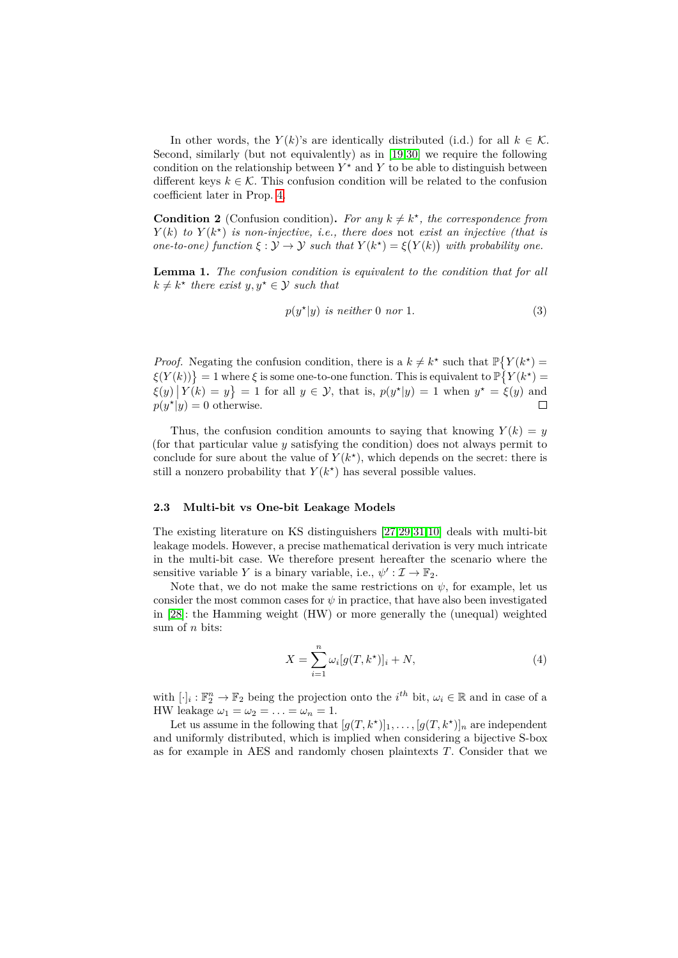In other words, the *Y*(*k*)'s are identically distributed (i.d.) for all  $k \in \mathcal{K}$ . Second, similarly (but not equivalently) as in [\[19,](#page-19-7)[30\]](#page-19-8) we require the following condition on the relationship between  $Y^*$  and  $Y$  to be able to distinguish between different keys  $k \in \mathcal{K}$ . This confusion condition will be related to the confusion coefficient later in Prop. [4.](#page-9-0)

<span id="page-3-2"></span>**Condition 2** (Confusion condition). For any  $k \neq k^*$ , the correspondence from  $Y(k)$  *to*  $Y(k^*)$  *is non-injective, i.e., there does* not *exist an injective (that is one-to-one)* function  $\xi : \mathcal{Y} \to \mathcal{Y}$  such that  $Y(k^*) = \xi(Y(k))$  with probability one.

**Lemma 1.** *The confusion condition is equivalent to the condition that for all*  $k \neq k^*$  *there exist*  $y, y^* \in \mathcal{Y}$  *such that* 

<span id="page-3-1"></span>
$$
p(y^*|y) \text{ is neither } 0 \text{ nor } 1. \tag{3}
$$

*Proof.* Negating the confusion condition, there is a  $k \neq k^*$  such that  $\mathbb{P}\{Y(k^*) =$  $\xi(Y(k))$  = 1 where  $\xi$  is some one-to-one function. This is equivalent to  $\mathbb{P}(\hat{Y}(k^*) =$  $\mathcal{L}\{\mathcal{L}(y) \mid Y(k) = y\} = 1$  for all  $y \in \mathcal{Y}$ , that is,  $p(y^*|y) = 1$  when  $y^* = \mathcal{L}(y)$  and  $p(y^*|y) = 0$  otherwise.  $\Box$ 

Thus, the confusion condition amounts to saying that knowing  $Y(k) = y$ (for that particular value *y* satisfying the condition) does not always permit to conclude for sure about the value of  $Y(k^*)$ , which depends on the secret: there is still a nonzero probability that  $Y(k^*)$  has several possible values.

#### <span id="page-3-0"></span>**2.3 Multi-bit vs One-bit Leakage Models**

The existing literature on KS distinguishers [\[27](#page-19-9)[,29](#page-19-10)[,31,](#page-20-0)[10\]](#page-18-0) deals with multi-bit leakage models. However, a precise mathematical derivation is very much intricate in the multi-bit case. We therefore present hereafter the scenario where the sensitive variable *Y* is a binary variable, i.e.,  $\psi': \mathcal{I} \to \mathbb{F}_2$ .

Note that, we do not make the same restrictions on  $\psi$ , for example, let us consider the most common cases for  $\psi$  in practice, that have also been investigated in [\[28\]](#page-19-3): the Hamming weight (HW) or more generally the (unequal) weighted sum of *n* bits:

$$
X = \sum_{i=1}^{n} \omega_i [g(T, k^*)]_i + N,
$$
\n(4)

with  $[\cdot]_i : \mathbb{F}_2^n \to \mathbb{F}_2$  being the projection onto the  $i^{th}$  bit,  $\omega_i \in \mathbb{R}$  and in case of a HW leakage  $\omega_1 = \omega_2 = \ldots = \omega_n = 1$ .

Let us assume in the following that  $[g(T, k^*)]_1, \ldots, [g(T, k^*)]_n$  are independent and uniformly distributed, which is implied when considering a bijective S-box as for example in AES and randomly chosen plaintexts *T*. Consider that we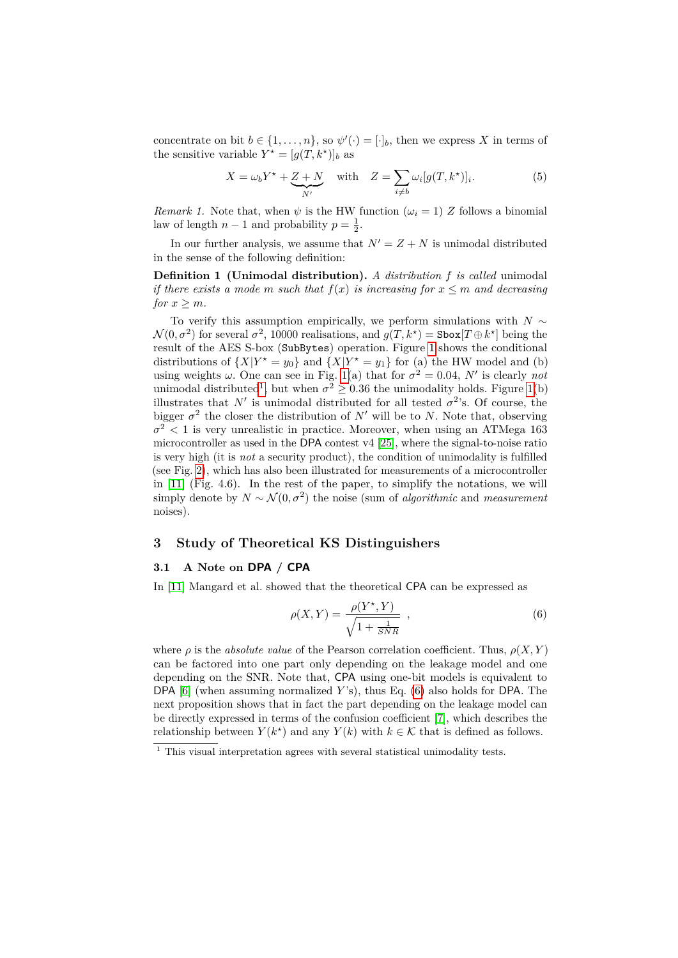concentrate on bit  $b \in \{1, \ldots, n\}$ , so  $\psi'(\cdot) = [\cdot]_b$ , then we express *X* in terms of the sensitive variable  $Y^* = [g(T, k^*)]_b$  as

$$
X = \omega_b Y^* + \underbrace{Z + N}_{N'} \quad \text{with} \quad Z = \sum_{i \neq b} \omega_i [g(T, k^*)]_i. \tag{5}
$$

*Remark 1.* Note that, when  $\psi$  is the HW function ( $\omega_i = 1$ ) *Z* follows a binomial law of length  $n-1$  and probability  $p=\frac{1}{2}$ .

In our further analysis, we assume that  $N' = Z + N$  is unimodal distributed in the sense of the following definition:

**Definition 1 (Unimodal distribution).** *A distribution f is called* unimodal *if there exists a mode m such that*  $f(x)$  *is increasing for*  $x \leq m$  *and decreasing for*  $x \geq m$ *.* 

To verify this assumption empirically, we perform simulations with  $N \sim$  $\mathcal{N}(0, \sigma^2)$  for several  $\sigma^2$ , 10000 realisations, and  $g(T, k^*) = \texttt{Sbox}[T \oplus k^*]$  being the result of the AES S-box (SubBytes) operation. Figure [1](#page-5-0) shows the conditional distributions of  $\{X|Y^* = y_0\}$  and  $\{X|Y^* = y_1\}$  for (a) the HW model and (b) using weights  $\omega$ . One can see in Fig. [1\(](#page-5-0)a) that for  $\sigma^2 = 0.04$ , N' is clearly *not* unimodal distributed<sup>[1](#page-4-0)</sup>, but when  $\sigma^2 \geq 0.36$  the unimodality holds. Figure [1\(](#page-5-0)b) illustrates that  $N'$  is unimodal distributed for all tested  $\sigma^2$ 's. Of course, the bigger  $\sigma^2$  the closer the distribution of  $N'$  will be to *N*. Note that, observing  $\sigma^2$  < 1 is very unrealistic in practice. Moreover, when using an ATMega 163 microcontroller as used in the DPA contest v4 [\[25\]](#page-19-11), where the signal-to-noise ratio is very high (it is *not* a security product), the condition of unimodality is fulfilled (see Fig. [2\)](#page-5-1), which has also been illustrated for measurements of a microcontroller in [\[11\]](#page-18-2) (Fig. 4.6). In the rest of the paper, to simplify the notations, we will simply denote by  $N \sim \mathcal{N}(0, \sigma^2)$  the noise (sum of *algorithmic* and *measurement* noises).

# **3 Study of Theoretical KS Distinguishers**

#### <span id="page-4-2"></span>**3.1 A Note on DPA / CPA**

In [\[11\]](#page-18-2) Mangard et al. showed that the theoretical CPA can be expressed as

<span id="page-4-1"></span>
$$
\rho(X,Y) = \frac{\rho(Y^*,Y)}{\sqrt{1 + \frac{1}{SNR}}} \quad , \tag{6}
$$

where  $\rho$  is the *absolute value* of the Pearson correlation coefficient. Thus,  $\rho(X, Y)$ can be factored into one part only depending on the leakage model and one depending on the SNR. Note that, CPA using one-bit models is equivalent to DPA [\[6\]](#page-18-4) (when assuming normalized *Y* 's), thus Eq. [\(6\)](#page-4-1) also holds for DPA. The next proposition shows that in fact the part depending on the leakage model can be directly expressed in terms of the confusion coefficient [\[7\]](#page-18-1), which describes the relationship between  $Y(k^*)$  and any  $Y(k)$  with  $k \in \mathcal{K}$  that is defined as follows.

<span id="page-4-0"></span> $^{\rm 1}$  This visual interpretation agrees with several statistical unimodality tests.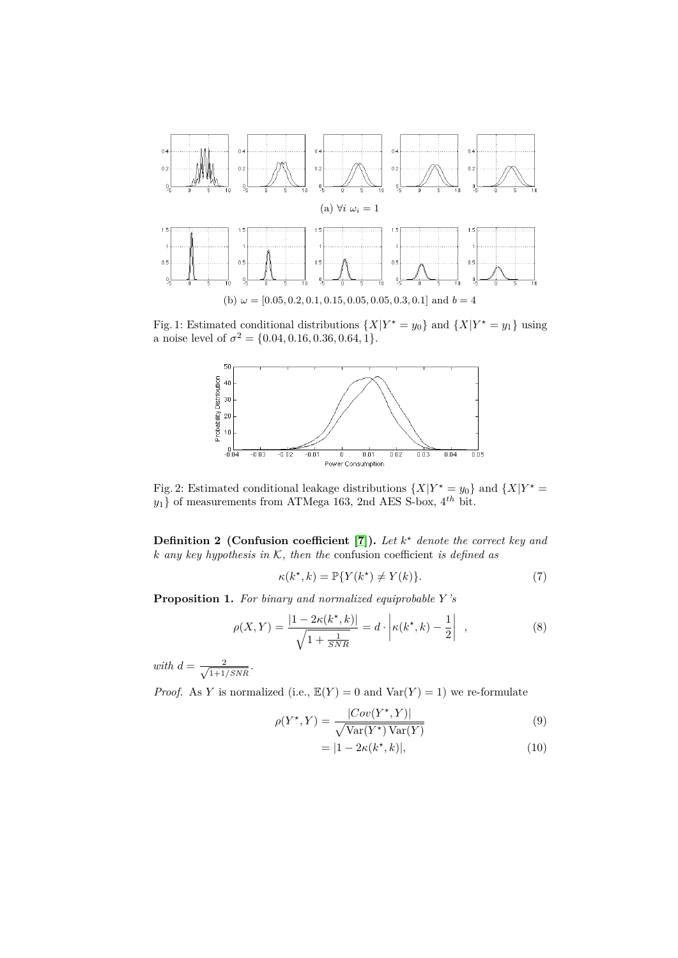<span id="page-5-0"></span>

<span id="page-5-1"></span>Fig. 1: Estimated conditional distributions  $\{X|Y^* = y_0\}$  and  $\{X|Y^* = y_1\}$  using a noise level of  $\sigma^2 = \{0.04, 0.16, 0.36, 0.64, 1\}.$ 



Fig. 2: Estimated conditional leakage distributions  $\{X|Y^* = y_0\}$  and  $\{X|Y^* = y_0\}$ *y*1} of measurements from ATMega 163, 2nd AES S-box, 4 *th* bit.

**Definition 2 (Confusion coefficient [\[7\]](#page-18-1)).** *Let k ? denote the correct key and*  $k$  *any key hypothesis in*  $K$ *, then the* confusion coefficient *is defined as* 

$$
\kappa(k^\star, k) = \mathbb{P}\{Y(k^\star) \neq Y(k)\}.
$$
\n<sup>(7)</sup>

**Proposition 1.** *For binary and normalized equiprobable Y 's*

$$
\rho(X,Y) = \frac{|1 - 2\kappa(k^*,k)|}{\sqrt{1 + \frac{1}{SNR}}} = d \cdot \left| \kappa(k^*,k) - \frac{1}{2} \right| , \qquad (8)
$$

*with*  $d = \frac{2}{\sqrt{1+2}}$  $rac{2}{1+1/SNR}$ 

*Proof.* As *Y* is normalized (i.e.,  $\mathbb{E}(Y) = 0$  and  $\text{Var}(Y) = 1$ ) we re-formulate

$$
\rho(Y^*, Y) = \frac{|Cov(Y^*, Y)|}{\sqrt{\text{Var}(Y^*) \text{Var}(Y)}}
$$
\n(9)

<span id="page-5-2"></span>
$$
=|1-2\kappa(k^*,k)|,\t\t(10)
$$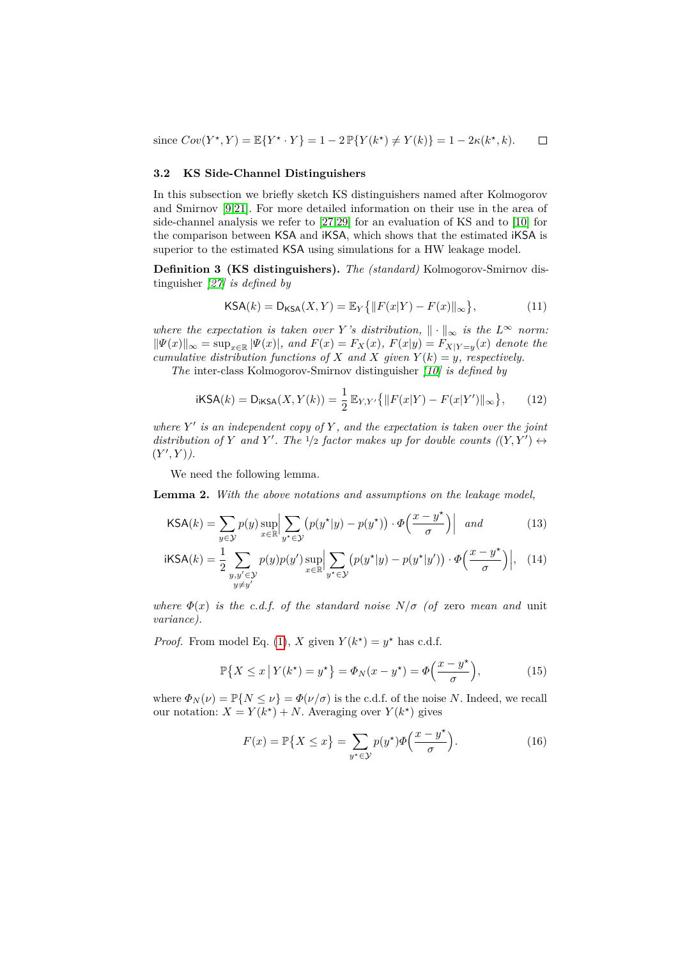$\text{since } Cov(Y^*, Y) = \mathbb{E}\{Y^* \cdot Y\} = 1 - 2 \mathbb{P}\{Y(k^*) \neq Y(k)\} = 1 - 2\kappa(k^*, k).$  $\Box$ 

## **3.2 KS Side-Channel Distinguishers**

In this subsection we briefly sketch KS distinguishers named after Kolmogorov and Smirnov [\[9,](#page-18-5)[21\]](#page-19-12). For more detailed information on their use in the area of side-channel analysis we refer to [\[27,](#page-19-9)[29\]](#page-19-10) for an evaluation of KS and to [\[10\]](#page-18-0) for the comparison between KSA and iKSA, which shows that the estimated iKSA is superior to the estimated KSA using simulations for a HW leakage model.

**Definition 3 (KS distinguishers).** *The (standard)* Kolmogorov-Smirnov distinguisher *[\[27\]](#page-19-9) is defined by*

<span id="page-6-4"></span><span id="page-6-2"></span>
$$
\mathsf{KSA}(k) = \mathsf{D}_{\mathsf{KSA}}(X, Y) = \mathbb{E}_Y \big\{ \| F(x|Y) - F(x) \|_{\infty} \big\},\tag{11}
$$

*where the expectation is taken over Y 's distribution,*  $\|\cdot\|_{\infty}$  *is the*  $L^{\infty}$  *norm:*  $\|\Psi(x)\|_{\infty} = \sup_{x \in \mathbb{R}} |\Psi(x)|$ , and  $F(x) = F_X(x)$ ,  $F(x|y) = F_{X|Y=y}(x)$  denote the *cumulative distribution functions of X and X given*  $Y(k) = y$ *, respectively.* 

*The* inter-class Kolmogorov-Smirnov distinguisher *[\[10\]](#page-18-0) is defined by*

$$
i\mathsf{KSA}(k) = \mathsf{D}_{i\mathsf{KSA}}(X, Y(k)) = \frac{1}{2} \mathbb{E}_{Y,Y'} \{ ||F(x|Y) - F(x|Y')||_{\infty} \},\qquad(12)
$$

where  $Y'$  is an independent copy of  $Y$ , and the expectation is taken over the joint *distribution of Y and Y*'. The  $\frac{1}{2}$  *factor makes up for double counts*  $((Y, Y') \leftrightarrow$  $(Y', Y)$ .

We need the following lemma.

**Lemma 2.** *With the above notations and assumptions on the leakage model,*

$$
\mathsf{KSA}(k) = \sum_{y \in \mathcal{Y}} p(y) \sup_{x \in \mathbb{R}} \Big| \sum_{y^* \in \mathcal{Y}} \big( p(y^*|y) - p(y^*) \big) \cdot \Phi\Big(\frac{x - y^*}{\sigma}\Big) \Big| \quad \text{and} \tag{13}
$$

$$
i\mathsf{KSA}(k) = \frac{1}{2} \sum_{\substack{y, y' \in \mathcal{Y} \\ y \neq y'}} p(y) p(y') \sup_{x \in \mathbb{R}} \Big| \sum_{y^* \in \mathcal{Y}} \big( p(y^*|y) - p(y^*|y') \big) \cdot \Phi\Big(\frac{x - y^*}{\sigma}\Big) \Big|, \quad (14)
$$

*where*  $\Phi(x)$  *is the c.d.f. of the standard noise*  $N/\sigma$  *(of zero mean and unit) variance).*

*Proof.* From model Eq. [\(1\)](#page-2-0), *X* given  $Y(k^*) = y^*$  has c.d.f.

<span id="page-6-5"></span><span id="page-6-3"></span>
$$
\mathbb{P}\{X \le x \, \big| \, Y(k^*) = y^* \} = \Phi_N(x - y^*) = \Phi\left(\frac{x - y^*}{\sigma}\right),\tag{15}
$$

where  $\Phi_N(\nu) = \mathbb{P}\{N \leq \nu\} = \Phi(\nu/\sigma)$  is the c.d.f. of the noise *N*. Indeed, we recall our notation:  $X = Y(k^*) + N$ . Averaging over  $Y(k^*)$  gives

<span id="page-6-1"></span><span id="page-6-0"></span>
$$
F(x) = \mathbb{P}\left\{X \le x\right\} = \sum_{y^* \in \mathcal{Y}} p(y^*) \Phi\left(\frac{x - y^*}{\sigma}\right). \tag{16}
$$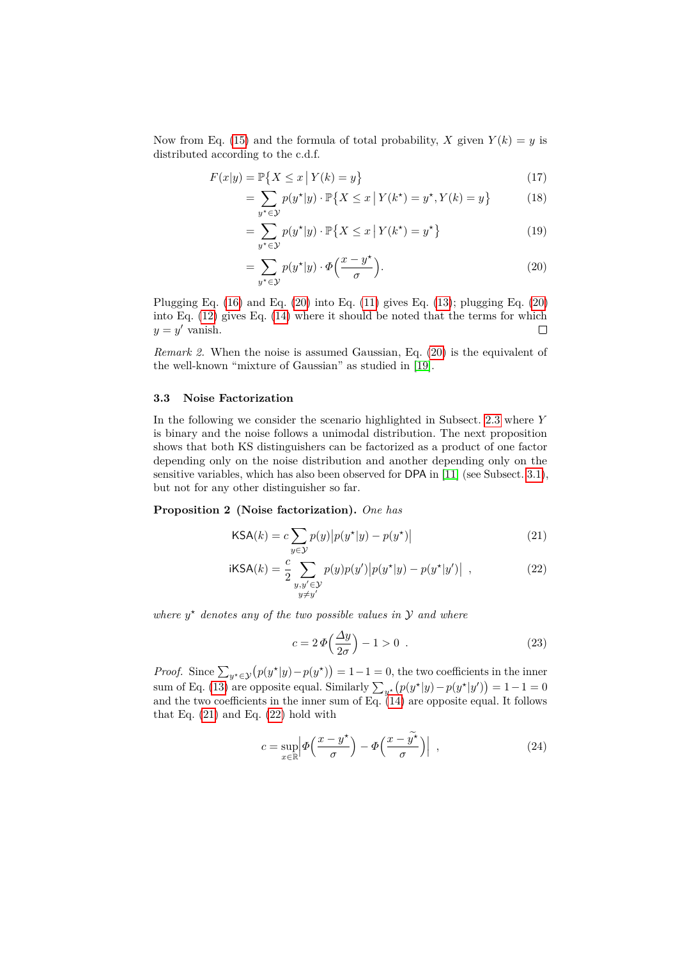Now from Eq. [\(15\)](#page-6-0) and the formula of total probability, *X* given  $Y(k) = y$  is distributed according to the c.d.f.

$$
F(x|y) = \mathbb{P}\left\{X \le x \mid Y(k) = y\right\} \tag{17}
$$

$$
= \sum_{y^* \in \mathcal{Y}} p(y^*|y) \cdot \mathbb{P}\{X \le x \mid Y(k^*) = y^*, Y(k) = y\} \tag{18}
$$

$$
= \sum_{y^* \in \mathcal{Y}} p(y^*|y) \cdot \mathbb{P}\left\{X \le x \mid Y(k^*) = y^*\right\} \tag{19}
$$

<span id="page-7-0"></span>
$$
= \sum_{y^* \in \mathcal{Y}} p(y^*|y) \cdot \Phi\left(\frac{x - y^*}{\sigma}\right). \tag{20}
$$

Plugging Eq.  $(16)$  and Eq.  $(20)$  into Eq.  $(11)$  gives Eq.  $(13)$ ; plugging Eq.  $(20)$ into Eq. [\(12\)](#page-6-4) gives Eq. [\(14\)](#page-6-5) where it should be noted that the terms for which  $y = y'$  vanish.  $\Box$ 

*Remark 2.* When the noise is assumed Gaussian, Eq. [\(20\)](#page-7-0) is the equivalent of the well-known "mixture of Gaussian" as studied in [\[19\]](#page-19-7).

## **3.3 Noise Factorization**

In the following we consider the scenario highlighted in Subsect. [2.3](#page-3-0) where *Y* is binary and the noise follows a unimodal distribution. The next proposition shows that both KS distinguishers can be factorized as a product of one factor depending only on the noise distribution and another depending only on the sensitive variables, which has also been observed for DPA in [\[11\]](#page-18-2) (see Subsect. [3.1\)](#page-4-2), but not for any other distinguisher so far.

**Proposition 2 (Noise factorization).** *One has*

$$
\text{KSA}(k) = c \sum_{y \in \mathcal{Y}} p(y) \left| p(y^*|y) - p(y^*) \right| \tag{21}
$$

$$
i\text{KSA}(k) = \frac{c}{2} \sum_{\substack{y,y' \in \mathcal{Y} \\ y \neq y'}} p(y)p(y') \left| p(y^*|y) - p(y^*|y') \right| , \qquad (22)
$$

*where*  $y^*$  *denotes any of the two possible values in*  $\mathcal Y$  *and where* 

<span id="page-7-2"></span><span id="page-7-1"></span>
$$
c = 2\Phi\left(\frac{\Delta y}{2\sigma}\right) - 1 > 0 \tag{23}
$$

*Proof.* Since  $\sum_{y^* \in \mathcal{Y}} (p(y^*|y) - p(y^*)) = 1 - 1 = 0$ , the two coefficients in the inner sum of Eq. [\(13\)](#page-6-3) are opposite equal. Similarly  $\sum_{y^*} (p(y^*|y) - p(y^*|y')) = 1 - 1 = 0$ and the two coefficients in the inner sum of Eq. [\(14\)](#page-6-5) are opposite equal. It follows that Eq.  $(21)$  and Eq.  $(22)$  hold with

$$
c = \sup_{x \in \mathbb{R}} \left| \Phi\left(\frac{x - y^*}{\sigma}\right) - \Phi\left(\frac{x - \tilde{y^*}}{\sigma}\right) \right| , \tag{24}
$$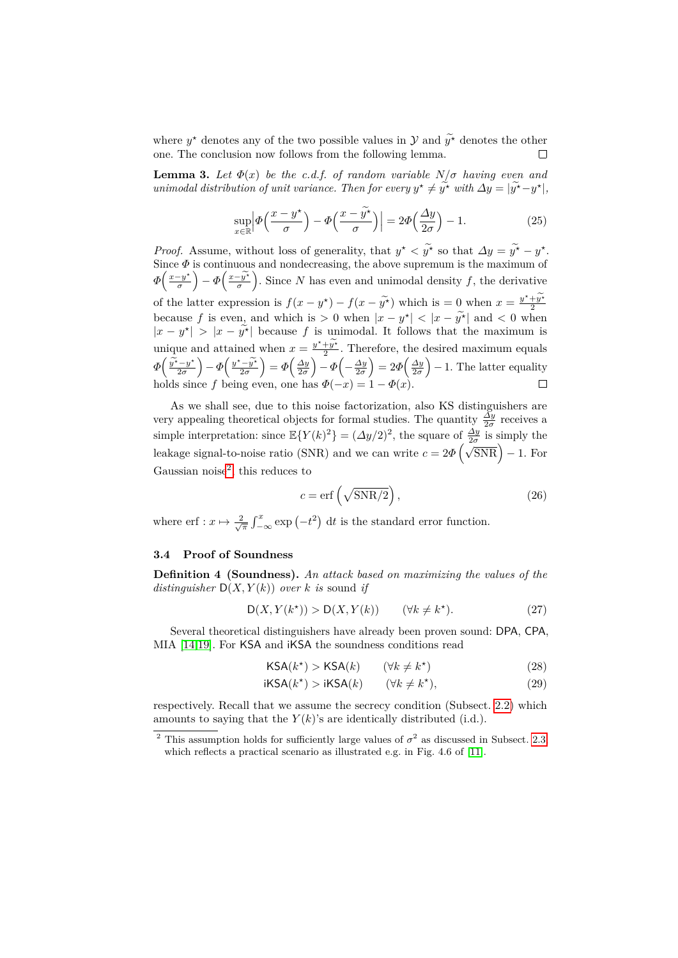where  $y^*$  denotes any of the two possible values in  $\mathcal Y$  and  $\widetilde{y^*}$  denotes the other one. The conclusion now follows from the following lemma.

**Lemma 3.** Let  $\Phi(x)$  be the c.d.f. of random variable  $N/\sigma$  having even and *unimodal distribution of unit variance. Then for every*  $y^* \neq \tilde{y^*}$  with  $\Delta y = |\tilde{y^*} - y^*|$ ,

$$
\sup_{x \in \mathbb{R}} \left| \varPhi \left( \frac{x - y^*}{\sigma} \right) - \varPhi \left( \frac{x - \tilde{y^*}}{\sigma} \right) \right| = 2\varPhi \left( \frac{\Delta y}{2\sigma} \right) - 1. \tag{25}
$$

*Proof.* Assume, without loss of generality, that  $y^* < \tilde{y}^*$  so that  $\Delta y = \tilde{y}^* - y^*$ . Since  $\Phi$  is continuous and nondecreasing, the above supremum is the maximum of *φ*( $\frac{x-y^*}{a}$  $\left(\frac{-y^*}{\sigma}\right) - \Phi\left(\frac{x-\widetilde{y^*}}{\sigma}\right)$ . Since *N* has even and unimodal density *f*, the derivative of the latter expression is  $f(x - y^*) - f(x - \tilde{y}^*)$  which is = 0 when  $x = \frac{y^* + \tilde{y}^*}{2}$ <br>because f is even, and which is > 0 when  $|x - y^*| < |x - \tilde{y}^*|$  and < 0 when  $|x - y^*| > |x - \tilde{y}^*|$  because f is unimodal. It follows unique and attained when  $x = \frac{y^* + \hat{y}^*}{2}$ . Therefore, the desired maximum equals  $\Phi\left(\frac{\widetilde{y^{\star}} - y^{\star}}{2\sigma}\right)$  $\left(\frac{y^* - y^*}{2\sigma}\right) - \Phi\left(\frac{y^* - \widetilde{y^*}}{2\sigma}\right) = \Phi\left(-\frac{\Delta y}{2\sigma}\right) - \Phi\left(-\frac{\Delta y}{2\sigma}\right) = 2\Phi\left(\frac{\Delta y}{2\sigma}\right) - 1.$  The latter equality holds since *f* being even, one has  $\Phi(-x) = 1 - \Phi(x)$ .

As we shall see, due to this noise factorization, also KS distinguishers are very appealing theoretical objects for formal studies. The quantity *∆y* 2*σ* receives a simple interpretation: since  $\mathbb{E}\{Y(k)^2\} = (\Delta y/2)^2$ , the square of  $\frac{\Delta y}{2\sigma}$  is simply the leakage signal-to-noise ratio (SNR) and we can write  $c = 2\Phi \left( \sqrt{\text{SNR}} \right) - 1$ . For Gaussian noise<sup>[2](#page-8-0)</sup>, this reduces to

$$
c = \text{erf}\left(\sqrt{\text{SNR}/2}\right),\tag{26}
$$

where erf :  $x \mapsto \frac{2}{\sqrt{\pi}} \int_{-\infty}^{x} \exp(-t^2) dt$  is the standard error function.

#### **3.4 Proof of Soundness**

**Definition 4 (Soundness).** *An attack based on maximizing the values of the distinguisher*  $D(X, Y(k))$  *over k is* sound *if* 

$$
D(X, Y(k^*)) > D(X, Y(k)) \qquad (\forall k \neq k^*). \tag{27}
$$

Several theoretical distinguishers have already been proven sound: DPA, CPA, MIA [\[14,](#page-19-13)[19\]](#page-19-7). For KSA and iKSA the soundness conditions read

<span id="page-8-2"></span><span id="page-8-1"></span>
$$
\mathsf{KSA}(k^*) > \mathsf{KSA}(k) \qquad (\forall k \neq k^*) \tag{28}
$$

$$
iKSA(k^*) > iKSA(k) \qquad (\forall k \neq k^*), \tag{29}
$$

respectively. Recall that we assume the secrecy condition (Subsect. [2.2\)](#page-2-1) which amounts to saying that the  $Y(k)$ 's are identically distributed (i.d.).

<span id="page-8-3"></span><span id="page-8-0"></span><sup>&</sup>lt;sup>2</sup> This assumption holds for sufficiently large values of  $\sigma^2$  as discussed in Subsect. [2.3,](#page-3-0) which reflects a practical scenario as illustrated e.g. in Fig. 4.6 of [\[11\]](#page-18-2).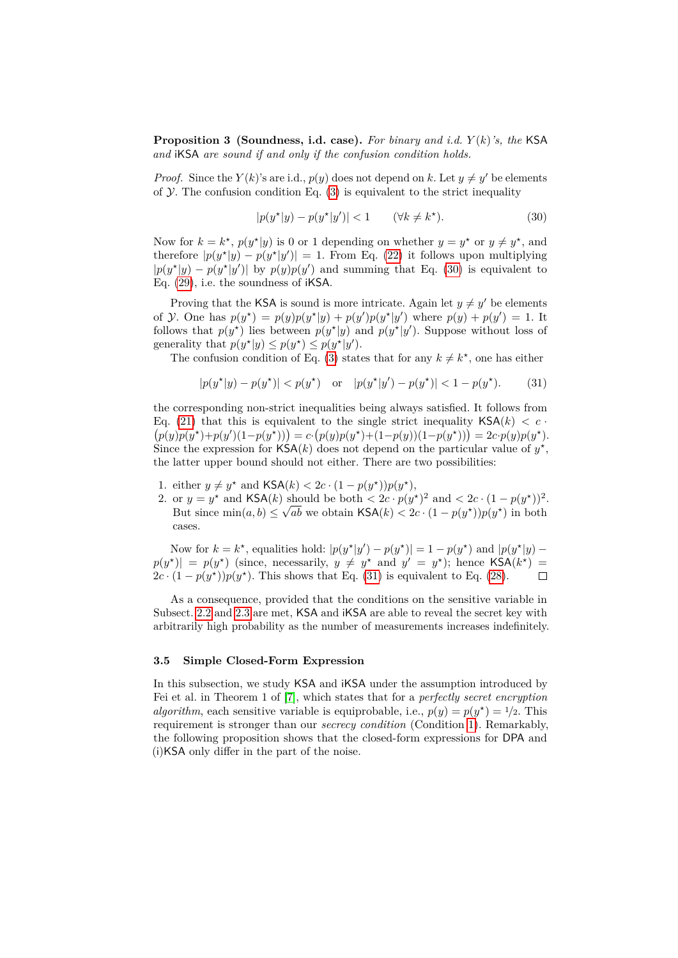**Proposition 3 (Soundness, i.d. case).** *For binary and i.d. Y* (*k*)*'s, the* KSA *and* iKSA *are sound if and only if the confusion condition holds.*

*Proof.* Since the  $Y(k)$ 's are i.d.,  $p(y)$  does not depend on *k*. Let  $y \neq y'$  be elements of  $\mathcal Y$ . The confusion condition Eq. [\(3\)](#page-3-1) is equivalent to the strict inequality

<span id="page-9-2"></span><span id="page-9-1"></span>
$$
|p(y^*|y) - p(y^*|y')| < 1 \qquad (\forall k \neq k^*). \tag{30}
$$

Now for  $k = k^*$ ,  $p(y^*|y)$  is 0 or 1 depending on whether  $y = y^*$  or  $y \neq y^*$ , and therefore  $|p(y^*|y) - p(y^*|y')| = 1$ . From Eq. [\(22\)](#page-7-2) it follows upon multiplying  $|p(y^*|y) - p(y^*|y')|$  by  $p(y)p(y')$  and summing that Eq. [\(30\)](#page-9-1) is equivalent to Eq. [\(29\)](#page-8-1), i.e. the soundness of iKSA.

Proving that the KSA is sound is more intricate. Again let  $y \neq y'$  be elements of *y*. One has  $p(y^*) = p(y)p(y^*|y) + p(y')p(y^*|y')$  where  $p(y) + p(y') = 1$ . It follows that  $p(y^*)$  lies between  $p(y^*|y)$  and  $p(y^*|y')$ . Suppose without loss of generality that  $p(y^*|y) \leq p(y^*) \leq p(y^*|y')$ .

The confusion condition of Eq. [\(3\)](#page-3-1) states that for any  $k \neq k^*$ , one has either

$$
|p(y^*|y) - p(y^*)| < p(y^*) \quad \text{or} \quad |p(y^*|y') - p(y^*)| < 1 - p(y^*). \tag{31}
$$

the corresponding non-strict inequalities being always satisfied. It follows from Eq. [\(21\)](#page-7-1) that this is equivalent to the single strict inequality  $\text{KSA}(k) < c$ .  $(p(y)p(y^*)+p(y')(1-p(y^*)))=c\cdot(p(y)p(y^*)+(1-p(y))(1-p(y^*)))=2c\cdot p(y)p(y^*)$ . Since the expression for  $\mathsf{KSA}(k)$  does not depend on the particular value of  $y^*$ , the latter upper bound should not either. There are two possibilities:

- 1. either  $y \neq y^*$  and  $\text{KSA}(k) < 2c \cdot (1 p(y^*))p(y^*)$ ,
- 2. or  $y = y^*$  and KSA(*k*) should be both  $\lt 2c \cdot p(y^*)^2$  and  $\lt 2c \cdot (1 p(y^*))^2$ . But since  $\min(a, b) \leq \sqrt{ab}$  we obtain  $\text{KSA}(k) < 2c \cdot (1 - p(y^*))p(y^*)$  in both cases.

Now for  $k = k^*$ , equalities hold:  $|p(y^*|y') - p(y^*)| = 1 - p(y^*)$  and  $|p(y^*|y) - p(y^*)|$  $p(y^*)$  =  $p(y^*)$  (since, necessarily,  $y \neq y^*$  and  $y' = y^*$ ); hence KSA( $k^*$ ) =  $2c \cdot (1 - p(y^*))p(y^*)$ . This shows that Eq. [\(31\)](#page-9-2) is equivalent to Eq. [\(28\)](#page-8-2).  $\Box$ 

As a consequence, provided that the conditions on the sensitive variable in Subsect. [2.2](#page-2-1) and [2.3](#page-3-0) are met, KSA and iKSA are able to reveal the secret key with arbitrarily high probability as the number of measurements increases indefinitely.

#### **3.5 Simple Closed-Form Expression**

<span id="page-9-0"></span>In this subsection, we study KSA and iKSA under the assumption introduced by Fei et al. in Theorem 1 of [\[7\]](#page-18-1), which states that for a *perfectly secret encryption algorithm*, each sensitive variable is equiprobable, i.e.,  $p(y) = p(y^*) = 1/2$ . This requirement is stronger than our *secrecy condition* (Condition [1\)](#page-2-2). Remarkably, the following proposition shows that the closed-form expressions for DPA and (i)KSA only differ in the part of the noise.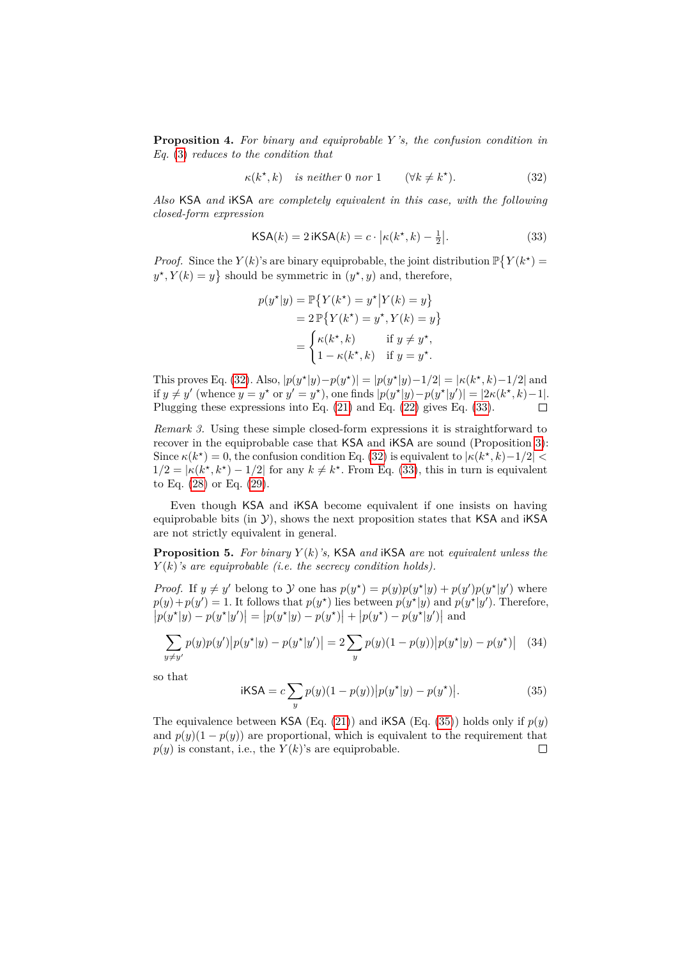**Proposition 4.** *For binary and equiprobable Y 's, the confusion condition in Eq.* [\(3\)](#page-3-1) *reduces to the condition that*

<span id="page-10-0"></span>
$$
\kappa(k^*,k)
$$
 is neither 0 nor 1  $(\forall k \neq k^*)$ . (32)

*Also* KSA *and* iKSA *are completely equivalent in this case, with the following closed-form expression*

<span id="page-10-1"></span>
$$
\mathsf{KSA}(k) = 2\,\mathsf{i}\mathsf{KSA}(k) = c \cdot \left| \kappa(k^\star, k) - \frac{1}{2} \right|.
$$

*Proof.* Since the  $Y(k)$ 's are binary equiprobable, the joint distribution  $\mathbb{P}\lbrace Y(k^*) =$  $y^*$ ,  $Y(k) = y$  should be symmetric in  $(y^*, y)$  and, therefore,

$$
p(y^*|y) = \mathbb{P}\{Y(k^*) = y^*|Y(k) = y\}
$$
  
= 2\mathbb{P}\{Y(k^\*) = y^\*, Y(k) = y\}  
= 
$$
\begin{cases} \kappa(k^*, k) & \text{if } y \neq y^*, \\ 1 - \kappa(k^*, k) & \text{if } y = y^*. \end{cases}
$$

This proves Eq. [\(32\)](#page-10-0). Also,  $|p(y^*|y) - p(y^*)| = |p(y^*|y) - 1/2| = |\kappa(k^*, k) - 1/2|$  and if  $y \neq y'$  (whence  $y = y^*$  or  $y' = y^*$ ), one finds  $|p(y^*|y) - p(y^*|y')| = |2\kappa(k^*, k) - 1|$ . Plugging these expressions into Eq. [\(21\)](#page-7-1) and Eq. [\(22\)](#page-7-2) gives Eq. [\(33\)](#page-10-1).  $\Box$ 

*Remark 3.* Using these simple closed-form expressions it is straightforward to recover in the equiprobable case that KSA and iKSA are sound (Proposition [3\)](#page-8-3): Since  $\kappa(k^*) = 0$ , the confusion condition Eq. [\(32\)](#page-10-0) is equivalent to  $|\kappa(k^*, k) - 1/2|$  $1/2 = |\kappa(k^*, k^*) - 1/2|$  for any  $k \neq k^*$ . From Eq. [\(33\)](#page-10-1), this in turn is equivalent to Eq. [\(28\)](#page-8-2) or Eq. [\(29\)](#page-8-1).

Even though KSA and iKSA become equivalent if one insists on having equiprobable bits (in  $\mathcal{Y}$ ), shows the next proposition states that KSA and iKSA are not strictly equivalent in general.

**Proposition 5.** *For binary Y* (*k*)*'s,* KSA *and* iKSA *are* not *equivalent unless the Y* (*k*)*'s are equiprobable (i.e. the secrecy condition holds).*

*Proof.* If  $y \neq y'$  belong to Y one has  $p(y^*) = p(y)p(y^*|y) + p(y')p(y^*|y')$  where  $p(y) + p(y') = 1$ . It follows that  $p(y^*)$  lies between  $p(y^*|y)$  and  $p(y^*|y')$ . Therefore,  $|p(y^*|y) - p(y^*|y')| = |p(y^*|y) - p(y^*)| + |p(y^*) - p(y^*|y')|$  and

$$
\sum_{y \neq y'} p(y)p(y')|p(y^*|y) - p(y^*|y')| = 2\sum_{y} p(y)(1 - p(y))|p(y^*|y) - p(y^*)| \quad (34)
$$

<span id="page-10-2"></span>so that

$$
iKSA = c \sum_{y} p(y)(1 - p(y)) |p(y^*|y) - p(y^*)|.
$$
 (35)

The equivalence between KSA (Eq. [\(21\)](#page-7-1)) and  $\text{iKSA}$  (Eq. [\(35\)](#page-10-2)) holds only if  $p(y)$ and  $p(y)(1 - p(y))$  are proportional, which is equivalent to the requirement that  $p(y)$  is constant, i.e., the  $Y(k)$ 's are equiprobable.  $\Box$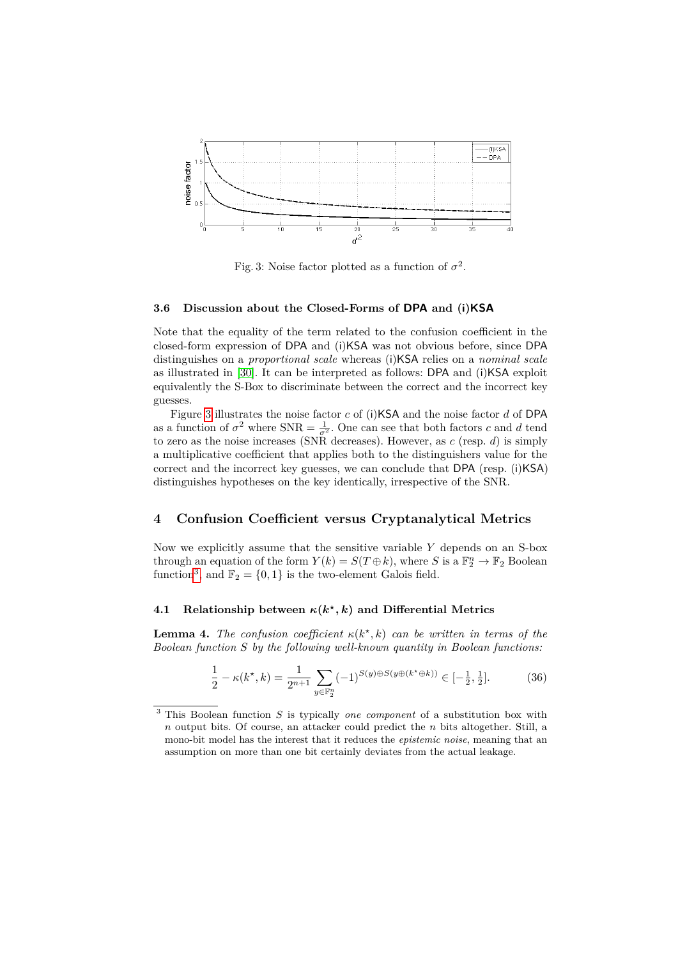<span id="page-11-0"></span>

Fig. 3: Noise factor plotted as a function of  $\sigma^2$ .

#### **3.6 Discussion about the Closed-Forms of DPA and (i)KSA**

Note that the equality of the term related to the confusion coefficient in the closed-form expression of DPA and (i)KSA was not obvious before, since DPA distinguishes on a *proportional scale* whereas (i)KSA relies on a *nominal scale* as illustrated in [\[30\]](#page-19-8). It can be interpreted as follows: DPA and (i)KSA exploit equivalently the S-Box to discriminate between the correct and the incorrect key guesses.

Figure [3](#page-11-0) illustrates the noise factor *c* of (i)KSA and the noise factor *d* of DPA as a function of  $\sigma^2$  where  $SNR = \frac{1}{\sigma^2}$ . One can see that both factors *c* and *d* tend to zero as the noise increases (SNR decreases). However, as *c* (resp. *d*) is simply a multiplicative coefficient that applies both to the distinguishers value for the correct and the incorrect key guesses, we can conclude that DPA (resp. (i)KSA) distinguishes hypotheses on the key identically, irrespective of the SNR.

## **4 Confusion Coefficient versus Cryptanalytical Metrics**

Now we explicitly assume that the sensitive variable *Y* depends on an S-box through an equation of the form  $Y(k) = S(T \oplus k)$ , where S is a  $\mathbb{F}_2^n \to \mathbb{F}_2$  Boolean function<sup>[3](#page-11-1)</sup>, and  $\mathbb{F}_2 = \{0, 1\}$  is the two-element Galois field.

## **4.1** Relationship between  $\kappa(k^*,k)$  and Differential Metrics

<span id="page-11-2"></span>**Lemma 4.** *The confusion coefficient*  $\kappa(k^*,k)$  *can be written in terms of the Boolean function S by the following well-known quantity in Boolean functions:*

$$
\frac{1}{2} - \kappa(k^\star, k) = \frac{1}{2^{n+1}} \sum_{y \in \mathbb{F}_2^n} (-1)^{S(y) \oplus S(y \oplus (k^\star \oplus k))} \in [-\frac{1}{2}, \frac{1}{2}].\tag{36}
$$

<span id="page-11-1"></span><sup>3</sup> This Boolean function *S* is typically *one component* of a substitution box with *n* output bits. Of course, an attacker could predict the *n* bits altogether. Still, a mono-bit model has the interest that it reduces the *epistemic noise*, meaning that an assumption on more than one bit certainly deviates from the actual leakage.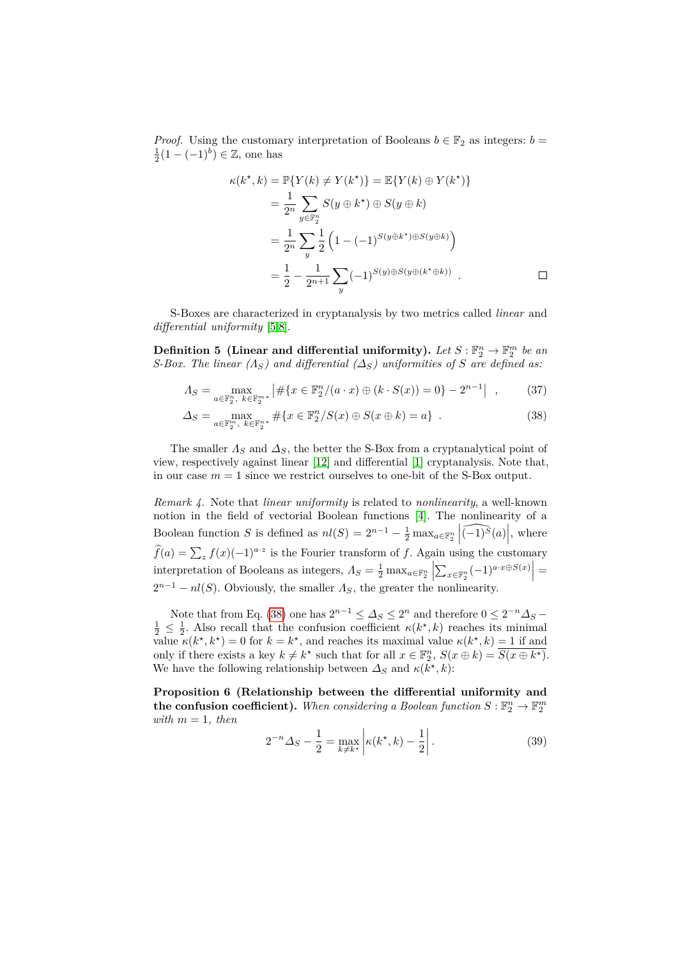*Proof.* Using the customary interpretation of Booleans  $b \in \mathbb{F}_2$  as integers:  $b =$  $(\frac{1}{2}(1 - (-1)^b) \in \mathbb{Z}$ , one has

$$
\kappa(k^*, k) = \mathbb{P}\{Y(k) \neq Y(k^*)\} = \mathbb{E}\{Y(k) \oplus Y(k^*)\}
$$
  
=  $\frac{1}{2^n} \sum_{y \in \mathbb{F}_2^n} S(y \oplus k^*) \oplus S(y \oplus k)$   
=  $\frac{1}{2^n} \sum_{y} \frac{1}{2} \left(1 - (-1)^{S(y \oplus k^*) \oplus S(y \oplus k)}\right)$   
=  $\frac{1}{2} - \frac{1}{2^{n+1}} \sum_{y} (-1)^{S(y) \oplus S(y \oplus (k^* \oplus k))}$ .

S-Boxes are characterized in cryptanalysis by two metrics called *linear* and *differential uniformity* [\[5](#page-18-6)[,8\]](#page-18-7).

Definition 5 (Linear and differential uniformity). Let  $S: \mathbb{F}_2^n \to \mathbb{F}_2^m$  be an *S*-Box. The linear  $(A_S)$  and differential  $(\Delta_S)$  uniformities of *S* are defined as:

<span id="page-12-1"></span><span id="page-12-0"></span>
$$
A_S = \max_{a \in \mathbb{F}_2^n, \ k \in \mathbb{F}_2^{m*}} |\# \{ x \in \mathbb{F}_2^n / (a \cdot x) \oplus (k \cdot S(x)) = 0 \} - 2^{n-1} | \quad , \tag{37}
$$

$$
\Delta_S = \max_{a \in \mathbb{F}_2^m, \ k \in \mathbb{F}_2^{n*}} \# \{ x \in \mathbb{F}_2^n / S(x) \oplus S(x \oplus k) = a \} . \tag{38}
$$

The smaller  $\Lambda_S$  and  $\Delta_S$ , the better the S-Box from a cryptanalytical point of view, respectively against linear [\[12\]](#page-18-8) and differential [\[1\]](#page-18-3) cryptanalysis. Note that, in our case  $m = 1$  since we restrict ourselves to one-bit of the S-Box output.

*Remark 4.* Note that *linear uniformity* is related to *nonlinearity*, a well-known notion in the field of vectorial Boolean functions [\[4\]](#page-18-9). The nonlinearity of a Boolean function *S* is defined as  $nl(S) = 2^{n-1} - \frac{1}{2} \max_{a \in \mathbb{F}_2^n} |(-1)^S(a)|$ , where  $\widehat{f}(a) = \sum_{z} f(x)(-1)^{a \cdot z}$  is the Fourier transform of *f*. Again using the customary interpretation of Booleans as integers,  $\Lambda_S = \frac{1}{2} \max_{a \in \mathbb{F}_2^n} \left| \sum_{x \in \mathbb{F}_2^n} (-1)^{a \cdot x \oplus S(x)} \right| =$  $2^{n-1} - nl(S)$ . Obviously, the smaller  $\Lambda_S$ , the greater the nonlinearity.

Note that from Eq. [\(38\)](#page-12-0) one has  $2^{n-1} \leq \Delta_S \leq 2^n$  and therefore  $0 \leq 2^{-n} \Delta_S$  $\frac{1}{2} \leq \frac{1}{2}$ . Also recall that the confusion coefficient  $\kappa(k^*,k)$  reaches its minimal value  $\kappa(k^*, k^*) = 0$  for  $k = k^*$ , and reaches its maximal value  $\kappa(k^*, k) = 1$  if and only if there exists a key  $k \neq k^*$  such that for all  $x \in \mathbb{F}_2^n$ ,  $S(x \oplus k) = \overline{S(x \oplus k^*)}$ . We have the following relationship between  $\Delta_S$  and  $\kappa(k^*, k)$ :

**Proposition 6 (Relationship between the differential uniformity and the confusion coefficient).** When considering a Boolean function  $S: \mathbb{F}_2^n \to \mathbb{F}_2^m$  $with m = 1, then$ 

$$
2^{-n}\Delta_S - \frac{1}{2} = \max_{k \neq k^*} \left| \kappa(k^*, k) - \frac{1}{2} \right|.
$$
 (39)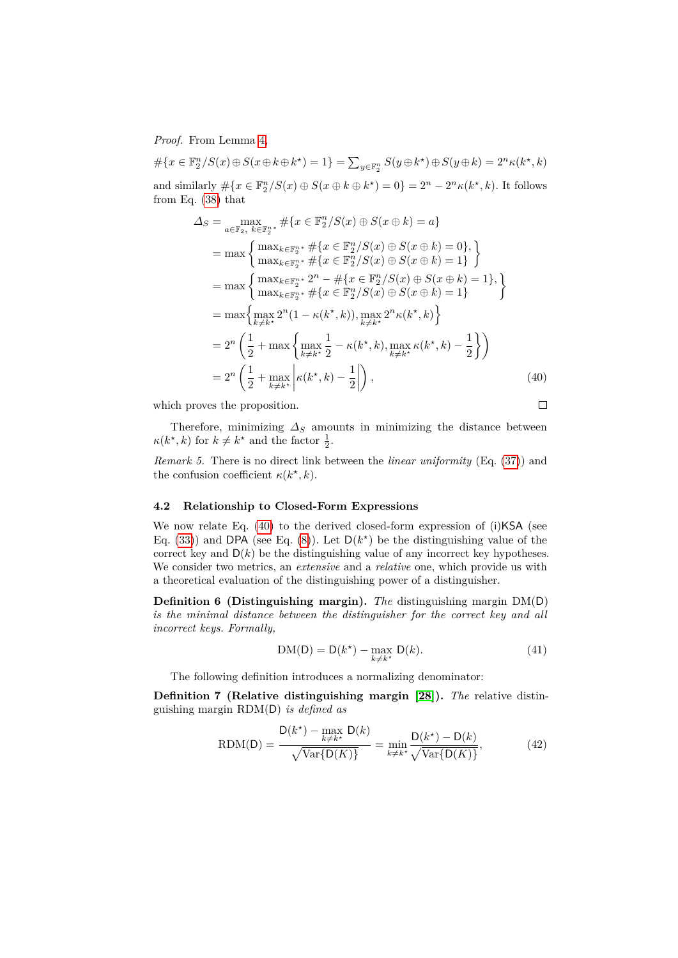*Proof.* From Lemma [4,](#page-11-2)

$$
\#\{x \in \mathbb{F}_2^n / S(x) \oplus S(x \oplus k \oplus k^\star) = 1\} = \sum_{y \in \mathbb{F}_2^n} S(y \oplus k^\star) \oplus S(y \oplus k) = 2^n \kappa(k^\star, k)
$$
  
and similarly  $\#\{x \in \mathbb{F}_2^n / S(x) \oplus S(x \oplus k \oplus k^\star) = 0\} = 2^n - 2^n \kappa(k^\star, k)$ . It follows

from Eq.  $(38)$  that  $\Delta_S = \max_{a \in \mathbb{F}_2, \ k \in \mathbb{F}_2^{n^*}} \# \{ x \in \mathbb{F}_2^n / S(x) \oplus S(x \oplus k) = a \}$  $=\max\left\{\max_{k\in\mathbb{F}_{2}^{n*}}\# \{x\in\mathbb{F}_{2}^{n}/S(x)\oplus S(x\oplus k)=0\},\atop\#[0\in\mathbb{F}_{2}^{n}/S(x)\oplus S(x\oplus k)-1] \right\}$  $\lambda$ 

$$
\begin{aligned}\n&= \max \left\{ \max_{k \in \mathbb{F}_2^{n_*}} \# \{ x \in \mathbb{F}_2^n / S(x) \oplus S(x \oplus k) = 1 \} \right\} \\
&= \max \left\{ \max_{k \in \mathbb{F}_2^{n_*}} 2^n - \# \{ x \in \mathbb{F}_2^n / S(x) \oplus S(x \oplus k) = 1 \}, \atop \max_{k \in \mathbb{F}_2^{n_*}} \# \{ x \in \mathbb{F}_2^n / S(x) \oplus S(x \oplus k) = 1 \} \right\} \\
&= \max \left\{ \max_{k \neq k^*} 2^n (1 - \kappa(k^*, k)), \max_{k \neq k^*} 2^n \kappa(k^*, k) \right\} \\
&= 2^n \left( \frac{1}{2} + \max \left\{ \max_{k \neq k^*} \frac{1}{2} - \kappa(k^*, k), \max_{k \neq k^*} \kappa(k^*, k) - \frac{1}{2} \right\} \right) \\
&= 2^n \left( \frac{1}{2} + \max_{k \neq k^*} \left| \kappa(k^*, k) - \frac{1}{2} \right| \right),\n\end{aligned} \tag{40}
$$

which proves the proposition.

<span id="page-13-0"></span>
$$
\Box
$$

Therefore, minimizing  $\Delta_S$  amounts in minimizing the distance between  $\kappa(k^*, k)$  for  $k \neq k^*$  and the factor  $\frac{1}{2}$ .

*Remark 5.* There is no direct link between the *linear uniformity* (Eq. [\(37\)](#page-12-1)) and the confusion coefficient  $\kappa(k^*, k)$ .

#### **4.2 Relationship to Closed-Form Expressions**

We now relate Eq.  $(40)$  to the derived closed-form expression of  $(i)$ KSA (see Eq. [\(33\)](#page-10-1)) and DPA (see Eq. [\(8\)](#page-5-2)). Let  $D(k^*)$  be the distinguishing value of the correct key and  $D(k)$  be the distinguishing value of any incorrect key hypotheses. We consider two metrics, an *extensive* and a *relative* one, which provide us with a theoretical evaluation of the distinguishing power of a distinguisher.

**Definition 6 (Distinguishing margin).** *The* distinguishing margin DM(D) *is the minimal distance between the distinguisher for the correct key and all incorrect keys. Formally,*

<span id="page-13-1"></span>
$$
DM(D) = D(k^*) - \max_{k \neq k^*} D(k).
$$
 (41)

The following definition introduces a normalizing denominator:

**Definition 7 (Relative distinguishing margin [\[28\]](#page-19-3)).** *The* relative distinguishing margin RDM(D) *is defined as*

$$
RDM(D) = \frac{D(k^{*}) - \max_{k \neq k^{*}} D(k)}{\sqrt{\text{Var}\{D(K)\}}} = \min_{k \neq k^{*}} \frac{D(k^{*}) - D(k)}{\sqrt{\text{Var}\{D(K)\}}},
$$
(42)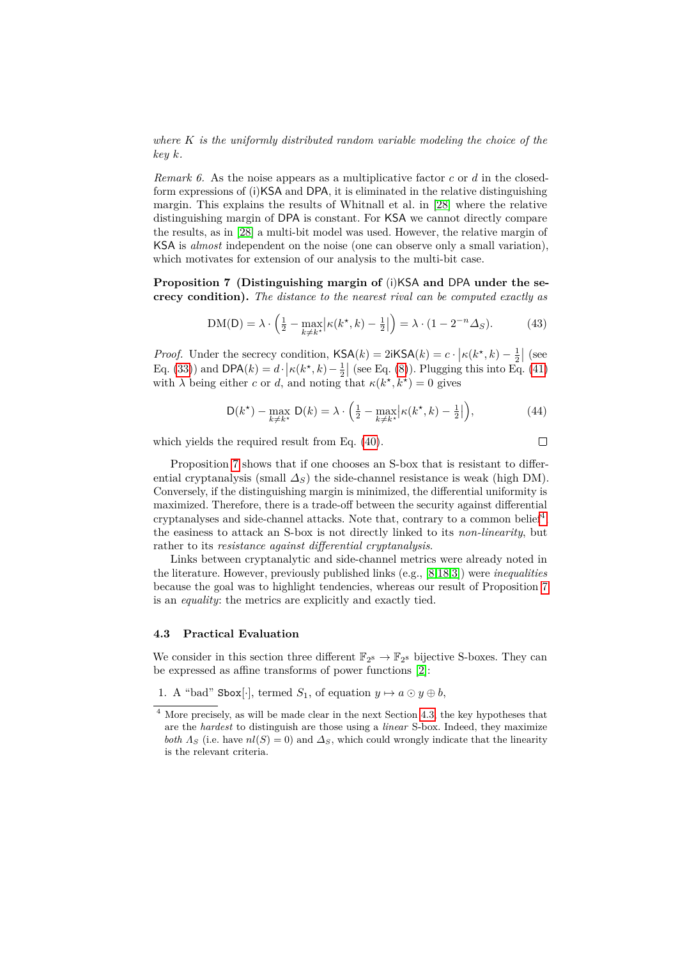## *where K is the uniformly distributed random variable modeling the choice of the key k.*

*Remark 6.* As the noise appears as a multiplicative factor *c* or *d* in the closedform expressions of  $(i)$ KSA and DPA, it is eliminated in the relative distinguishing margin. This explains the results of Whitnall et al. in [\[28\]](#page-19-3) where the relative distinguishing margin of DPA is constant. For KSA we cannot directly compare the results, as in [\[28\]](#page-19-3) a multi-bit model was used. However, the relative margin of KSA is *almost* independent on the noise (one can observe only a small variation), which motivates for extension of our analysis to the multi-bit case.

<span id="page-14-0"></span>**Proposition 7 (Distinguishing margin of** (i)KSA **and** DPA **under the secrecy condition).** *The distance to the nearest rival can be computed exactly as*

$$
DM(D) = \lambda \cdot \left(\frac{1}{2} - \max_{k \neq k^*} \left| \kappa(k^*, k) - \frac{1}{2} \right| \right) = \lambda \cdot (1 - 2^{-n} \Delta_S). \tag{43}
$$

*Proof.* Under the secrecy condition,  $\mathsf{KSA}(k) = 2\mathsf{i}\mathsf{KSA}(k) = c \cdot \left| \kappa(k^\star, k) - \frac{1}{2} \right|$  (see Eq. [\(33\)](#page-10-1)) and DPA $(k) = d \cdot \left| \kappa(k^*, k) - \frac{1}{2} \right|$  (see Eq. [\(8\)](#page-5-2)). Plugging this into Eq. [\(41\)](#page-13-1) with  $\lambda$  being either *c* or *d*, and noting that  $\kappa(k^*, k^*) = 0$  gives

$$
D(k^*) - \max_{k \neq k^*} D(k) = \lambda \cdot \left(\frac{1}{2} - \max_{k \neq k^*} \left| \kappa(k^*, k) - \frac{1}{2} \right| \right),\tag{44}
$$

which yields the required result from Eq. [\(40\)](#page-13-0).

$$
\Box
$$

Proposition [7](#page-14-0) shows that if one chooses an S-box that is resistant to differential cryptanalysis (small  $\Delta_S$ ) the side-channel resistance is weak (high DM). Conversely, if the distinguishing margin is minimized, the differential uniformity is maximized. Therefore, there is a trade-off between the security against differential cryptanalyses and side-channel attacks. Note that, contrary to a common belief<sup>[4](#page-14-1)</sup>, the easiness to attack an S-box is not directly linked to its *non-linearity*, but rather to its *resistance against differential cryptanalysis*.

Links between cryptanalytic and side-channel metrics were already noted in the literature. However, previously published links (e.g., [\[8,](#page-18-7)[18](#page-19-6)[,3\]](#page-18-10)) were *inequalities* because the goal was to highlight tendencies, whereas our result of Proposition [7](#page-14-0) is an *equality*: the metrics are explicitly and exactly tied.

#### <span id="page-14-2"></span>**4.3 Practical Evaluation**

We consider in this section three different  $\mathbb{F}_{2^8} \to \mathbb{F}_{2^8}$  bijective S-boxes. They can be expressed as affine transforms of power functions [\[2\]](#page-18-11):

1. A "bad" Sbox[ $\cdot$ ], termed  $S_1$ , of equation  $y \mapsto a \odot y \oplus b$ ,

<span id="page-14-1"></span><sup>4</sup> More precisely, as will be made clear in the next Section [4.3,](#page-14-2) the key hypotheses that are the *hardest* to distinguish are those using a *linear* S-box. Indeed, they maximize *both*  $\Lambda_S$  (i.e. have  $nl(S) = 0$ ) and  $\Delta_S$ , which could wrongly indicate that the linearity is the relevant criteria.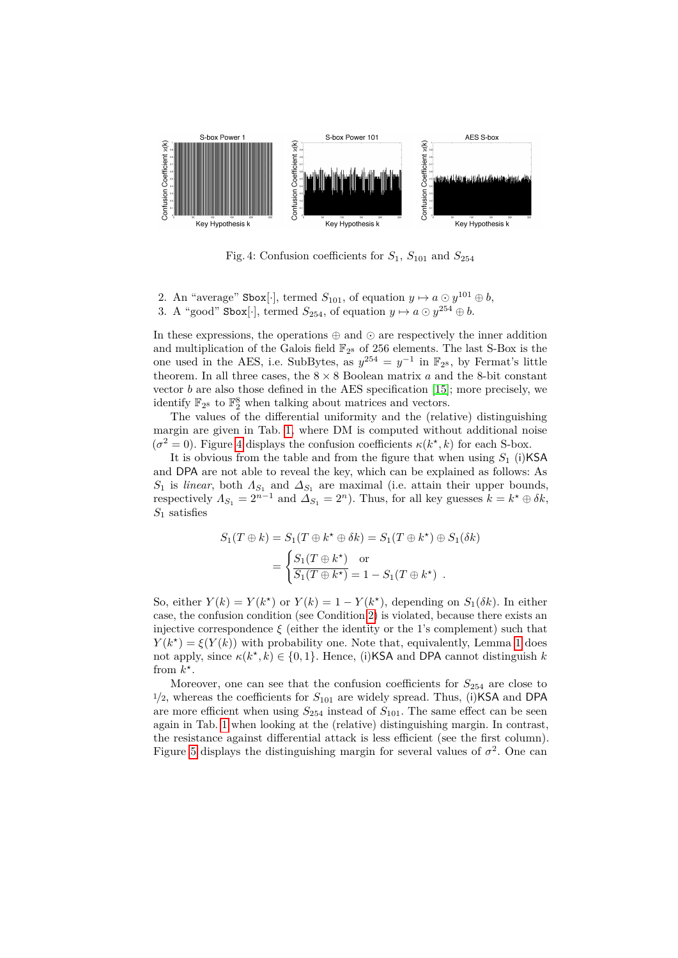<span id="page-15-0"></span>

Fig. 4: Confusion coefficients for  $S_1$ ,  $S_{101}$  and  $S_{254}$ 

2. An "average" Sbox[ $\cdot$ ], termed  $S_{101}$ , of equation  $y \mapsto a \odot y^{101} \oplus b$ , 3. A "good" Sbox[·], termed  $S_{254}$ , of equation  $y \mapsto a \odot y^{254} \oplus b$ .

In these expressions, the operations  $\oplus$  and  $\odot$  are respectively the inner addition and multiplication of the Galois field  $\mathbb{F}_{2^8}$  of 256 elements. The last S-Box is the one used in the AES, i.e. SubBytes, as  $y^{254} = y^{-1}$  in  $\mathbb{F}_{2^8}$ , by Fermat's little theorem. In all three cases, the  $8 \times 8$  Boolean matrix *a* and the 8-bit constant vector  $b$  are also those defined in the AES specification  $[15]$ ; more precisely, we identify  $\mathbb{F}_{2}$ <sup>8</sup> to  $\mathbb{F}_{2}^{8}$  when talking about matrices and vectors.

The values of the differential uniformity and the (relative) distinguishing margin are given in Tab. [1,](#page-16-0) where DM is computed without additional noise  $(\sigma^2 = 0)$ . Figure [4](#page-15-0) displays the confusion coefficients  $\kappa(k^*, k)$  for each S-box.

It is obvious from the table and from the figure that when using  $S_1$  (i)KSA and DPA are not able to reveal the key, which can be explained as follows: As *S*<sup>1</sup> is *linear*, both  $\Lambda_{S_1}$  and  $\Delta_{S_1}$  are maximal (i.e. attain their upper bounds, respectively  $\Lambda_{S_1} = 2^{n-1}$  and  $\Delta_{S_1} = 2^n$ ). Thus, for all key guesses  $k = k^* \oplus \delta k$ , *S*<sup>1</sup> satisfies

$$
S_1(T \oplus k) = S_1(T \oplus k^* \oplus \delta k) = S_1(T \oplus k^*) \oplus S_1(\delta k)
$$

$$
= \begin{cases} S_1(T \oplus k^*) & \text{or} \\ \overline{S_1(T \oplus k^*)} = 1 - S_1(T \oplus k^*) \end{cases}.
$$

So, either  $Y(k) = Y(k^*)$  or  $Y(k) = 1 - Y(k^*)$ , depending on  $S_1(\delta k)$ . In either case, the confusion condition (see Condition [2\)](#page-3-2) is violated, because there exists an injective correspondence  $\xi$  (either the identity or the 1's complement) such that  $Y(k^*) = \xi(Y(k))$  with probability one. Note that, equivalently, Lemma [1](#page-3-1) does not apply, since  $\kappa(k^*, k) \in \{0, 1\}$ . Hence, (i)KSA and DPA cannot distinguish *k* from  $k^*$ .

Moreover, one can see that the confusion coefficients for  $S_{254}$  are close to  $1/2$ , whereas the coefficients for  $S_{101}$  are widely spread. Thus, (i)KSA and DPA are more efficient when using  $S_{254}$  instead of  $S_{101}$ . The same effect can be seen again in Tab. [1](#page-16-0) when looking at the (relative) distinguishing margin. In contrast, the resistance against differential attack is less efficient (see the first column). Figure [5](#page-16-0) displays the distinguishing margin for several values of  $\sigma^2$ . One can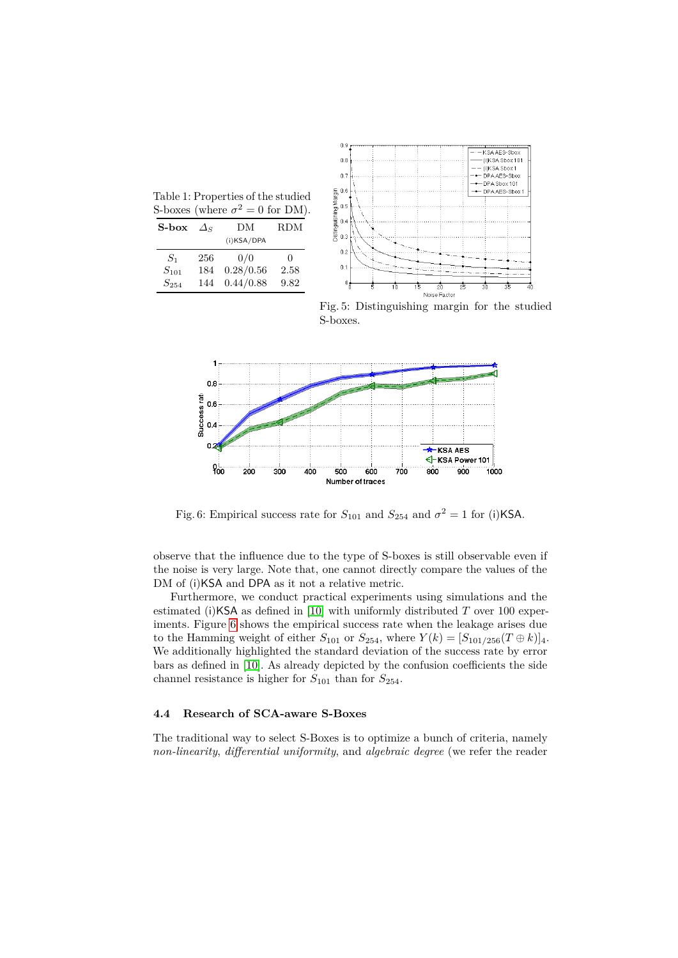

<span id="page-16-0"></span>Table 1: Properties of the studied S-boxes (where  $\sigma^2 = 0$  for DM).

| S-box     | $\Delta s$ | DМ         | RDM          |
|-----------|------------|------------|--------------|
|           |            | (i)KSA/DPA |              |
| $S_1$     | 256        | 0/0        | $\mathbf{0}$ |
| $S_{101}$ | 184        | 0.28/0.56  | 2.58         |
| $S_{254}$ | 144        | 0.44/0.88  | 9.82         |

Fig. 5: Distinguishing margin for the studied S-boxes.

<span id="page-16-1"></span>

Fig. 6: Empirical success rate for  $S_{101}$  and  $S_{254}$  and  $\sigma^2 = 1$  for (i)KSA.

observe that the influence due to the type of S-boxes is still observable even if the noise is very large. Note that, one cannot directly compare the values of the DM of (i)KSA and DPA as it not a relative metric.

Furthermore, we conduct practical experiments using simulations and the estimated (i)KSA as defined in [\[10\]](#page-18-0) with uniformly distributed *T* over 100 experiments. Figure [6](#page-16-1) shows the empirical success rate when the leakage arises due to the Hamming weight of either  $S_{101}$  or  $S_{254}$ , where  $Y(k) = [S_{101/256}(T \oplus k)]_4$ . We additionally highlighted the standard deviation of the success rate by error bars as defined in [\[10\]](#page-18-0). As already depicted by the confusion coefficients the side channel resistance is higher for  $S_{101}$  than for  $S_{254}$ .

#### **4.4 Research of SCA-aware S-Boxes**

The traditional way to select S-Boxes is to optimize a bunch of criteria, namely *non-linearity*, *differential uniformity*, and *algebraic degree* (we refer the reader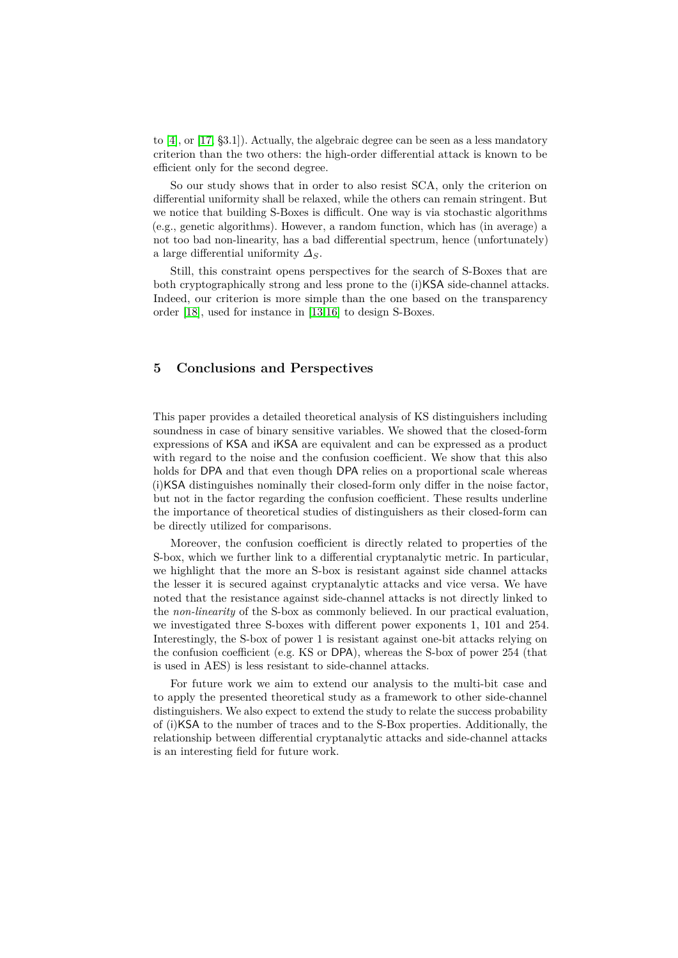to [\[4\]](#page-18-9), or [\[17,](#page-19-15) §3.1]). Actually, the algebraic degree can be seen as a less mandatory criterion than the two others: the high-order differential attack is known to be efficient only for the second degree.

So our study shows that in order to also resist SCA, only the criterion on differential uniformity shall be relaxed, while the others can remain stringent. But we notice that building S-Boxes is difficult. One way is via stochastic algorithms (e.g., genetic algorithms). However, a random function, which has (in average) a not too bad non-linearity, has a bad differential spectrum, hence (unfortunately) a large differential uniformity *∆S*.

Still, this constraint opens perspectives for the search of S-Boxes that are both cryptographically strong and less prone to the (i)KSA side-channel attacks. Indeed, our criterion is more simple than the one based on the transparency order [\[18\]](#page-19-6), used for instance in [\[13,](#page-18-12)[16\]](#page-19-16) to design S-Boxes.

# **5 Conclusions and Perspectives**

This paper provides a detailed theoretical analysis of KS distinguishers including soundness in case of binary sensitive variables. We showed that the closed-form expressions of KSA and iKSA are equivalent and can be expressed as a product with regard to the noise and the confusion coefficient. We show that this also holds for DPA and that even though DPA relies on a proportional scale whereas (i)KSA distinguishes nominally their closed-form only differ in the noise factor, but not in the factor regarding the confusion coefficient. These results underline the importance of theoretical studies of distinguishers as their closed-form can be directly utilized for comparisons.

Moreover, the confusion coefficient is directly related to properties of the S-box, which we further link to a differential cryptanalytic metric. In particular, we highlight that the more an S-box is resistant against side channel attacks the lesser it is secured against cryptanalytic attacks and vice versa. We have noted that the resistance against side-channel attacks is not directly linked to the *non-linearity* of the S-box as commonly believed. In our practical evaluation, we investigated three S-boxes with different power exponents 1, 101 and 254. Interestingly, the S-box of power 1 is resistant against one-bit attacks relying on the confusion coefficient (e.g. KS or DPA), whereas the S-box of power 254 (that is used in AES) is less resistant to side-channel attacks.

For future work we aim to extend our analysis to the multi-bit case and to apply the presented theoretical study as a framework to other side-channel distinguishers. We also expect to extend the study to relate the success probability of (i)KSA to the number of traces and to the S-Box properties. Additionally, the relationship between differential cryptanalytic attacks and side-channel attacks is an interesting field for future work.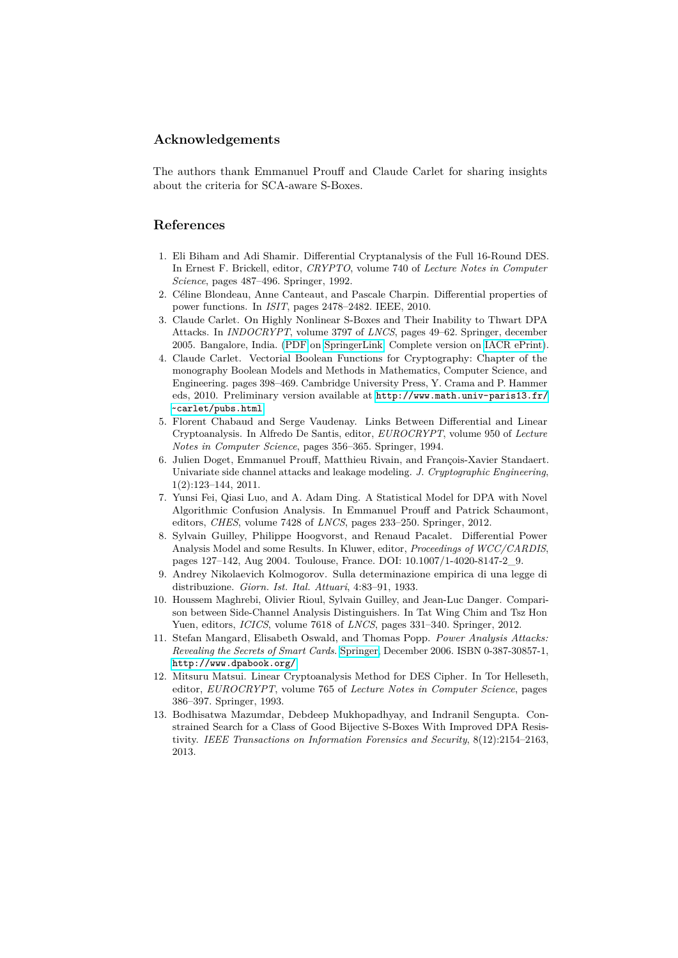## **Acknowledgements**

The authors thank Emmanuel Prouff and Claude Carlet for sharing insights about the criteria for SCA-aware S-Boxes.

# **References**

- <span id="page-18-3"></span>1. Eli Biham and Adi Shamir. Differential Cryptanalysis of the Full 16-Round DES. In Ernest F. Brickell, editor, *CRYPTO*, volume 740 of *Lecture Notes in Computer Science*, pages 487–496. Springer, 1992.
- <span id="page-18-11"></span>2. Céline Blondeau, Anne Canteaut, and Pascale Charpin. Differential properties of power functions. In *ISIT*, pages 2478–2482. IEEE, 2010.
- <span id="page-18-10"></span>3. Claude Carlet. On Highly Nonlinear S-Boxes and Their Inability to Thwart DPA Attacks. In *INDOCRYPT*, volume 3797 of *LNCS*, pages 49–62. Springer, december 2005. Bangalore, India. [\(PDF](http://www.springerlink.com/(1mc5ct45l1xlnirkbdul2j55)/app/home/contribution.asp?referrer=parent&backto=issue,5,32;journal,42,2337;linkingpublicationresults,1:105633,1) on [SpringerLink;](http://www.springerlink.com/) Complete version on [IACR ePrint\)](http://eprint.iacr.org/2005/387).
- <span id="page-18-9"></span>4. Claude Carlet. Vectorial Boolean Functions for Cryptography: Chapter of the monography Boolean Models and Methods in Mathematics, Computer Science, and Engineering. pages 398–469. Cambridge University Press, Y. Crama and P. Hammer eds, 2010. Preliminary version available at [http://www.math.univ-paris13.fr/](http://www.math.univ-paris13.fr/~carlet/pubs.html) [~carlet/pubs.html](http://www.math.univ-paris13.fr/~carlet/pubs.html).
- <span id="page-18-6"></span>5. Florent Chabaud and Serge Vaudenay. Links Between Differential and Linear Cryptoanalysis. In Alfredo De Santis, editor, *EUROCRYPT*, volume 950 of *Lecture Notes in Computer Science*, pages 356–365. Springer, 1994.
- <span id="page-18-4"></span>6. Julien Doget, Emmanuel Prouff, Matthieu Rivain, and François-Xavier Standaert. Univariate side channel attacks and leakage modeling. *J. Cryptographic Engineering*, 1(2):123–144, 2011.
- <span id="page-18-1"></span>7. Yunsi Fei, Qiasi Luo, and A. Adam Ding. A Statistical Model for DPA with Novel Algorithmic Confusion Analysis. In Emmanuel Prouff and Patrick Schaumont, editors, *CHES*, volume 7428 of *LNCS*, pages 233–250. Springer, 2012.
- <span id="page-18-7"></span>8. Sylvain Guilley, Philippe Hoogvorst, and Renaud Pacalet. Differential Power Analysis Model and some Results. In Kluwer, editor, *Proceedings of WCC/CARDIS*, pages 127–142, Aug 2004. Toulouse, France. DOI: 10.1007/1-4020-8147-2\_9.
- <span id="page-18-5"></span>9. Andrey Nikolaevich Kolmogorov. Sulla determinazione empirica di una legge di distribuzione. *Giorn. Ist. Ital. Attuari*, 4:83–91, 1933.
- <span id="page-18-0"></span>10. Houssem Maghrebi, Olivier Rioul, Sylvain Guilley, and Jean-Luc Danger. Comparison between Side-Channel Analysis Distinguishers. In Tat Wing Chim and Tsz Hon Yuen, editors, *ICICS*, volume 7618 of *LNCS*, pages 331–340. Springer, 2012.
- <span id="page-18-2"></span>11. Stefan Mangard, Elisabeth Oswald, and Thomas Popp. *Power Analysis Attacks: Revealing the Secrets of Smart Cards*. [Springer,](http://www.springer.com/) December 2006. ISBN 0-387-30857-1, <http://www.dpabook.org/>.
- <span id="page-18-8"></span>12. Mitsuru Matsui. Linear Cryptoanalysis Method for DES Cipher. In Tor Helleseth, editor, *EUROCRYPT*, volume 765 of *Lecture Notes in Computer Science*, pages 386–397. Springer, 1993.
- <span id="page-18-12"></span>13. Bodhisatwa Mazumdar, Debdeep Mukhopadhyay, and Indranil Sengupta. Constrained Search for a Class of Good Bijective S-Boxes With Improved DPA Resistivity. *IEEE Transactions on Information Forensics and Security*, 8(12):2154–2163, 2013.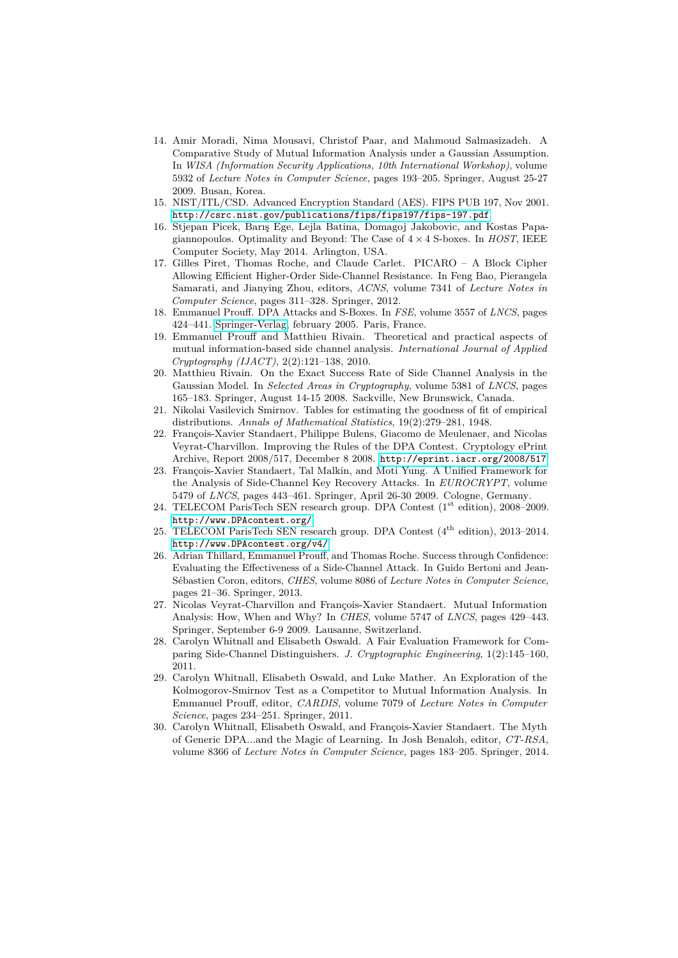- <span id="page-19-13"></span>14. Amir Moradi, Nima Mousavi, Christof Paar, and Mahmoud Salmasizadeh. A Comparative Study of Mutual Information Analysis under a Gaussian Assumption. In *WISA (Information Security Applications, 10th International Workshop)*, volume 5932 of *Lecture Notes in Computer Science*, pages 193–205. Springer, August 25-27 2009. Busan, Korea.
- <span id="page-19-14"></span>15. NIST/ITL/CSD. Advanced Encryption Standard (AES). FIPS PUB 197, Nov 2001. <http://csrc.nist.gov/publications/fips/fips197/fips-197.pdf>.
- <span id="page-19-16"></span>16. Stjepan Picek, Barış Ege, Lejla Batina, Domagoj Jakobovic, and Kostas Papagiannopoulos. Optimality and Beyond: The Case of 4 × 4 S-boxes. In *HOST*, IEEE Computer Society, May 2014. Arlington, USA.
- <span id="page-19-15"></span>17. Gilles Piret, Thomas Roche, and Claude Carlet. PICARO – A Block Cipher Allowing Efficient Higher-Order Side-Channel Resistance. In Feng Bao, Pierangela Samarati, and Jianying Zhou, editors, *ACNS*, volume 7341 of *Lecture Notes in Computer Science*, pages 311–328. Springer, 2012.
- <span id="page-19-6"></span>18. Emmanuel Prouff. DPA Attacks and S-Boxes. In *FSE*, volume 3557 of *LNCS*, pages 424–441. [Springer-Verlag,](http://www.springerlink.com/) february 2005. Paris, France.
- <span id="page-19-7"></span>19. Emmanuel Prouff and Matthieu Rivain. Theoretical and practical aspects of mutual information-based side channel analysis. *International Journal of Applied Cryptography (IJACT)*, 2(2):121–138, 2010.
- <span id="page-19-5"></span>20. Matthieu Rivain. On the Exact Success Rate of Side Channel Analysis in the Gaussian Model. In *Selected Areas in Cryptography*, volume 5381 of *LNCS*, pages 165–183. Springer, August 14-15 2008. Sackville, New Brunswick, Canada.
- <span id="page-19-12"></span>21. Nikolai Vasilevich Smirnov. Tables for estimating the goodness of fit of empirical distributions. *Annals of Mathematical Statistics*, 19(2):279–281, 1948.
- <span id="page-19-1"></span>22. François-Xavier Standaert, Philippe Bulens, Giacomo de Meulenaer, and Nicolas Veyrat-Charvillon. Improving the Rules of the DPA Contest. Cryptology ePrint Archive, Report 2008/517, December 8 2008. <http://eprint.iacr.org/2008/517>.
- <span id="page-19-2"></span>23. François-Xavier Standaert, Tal Malkin, and Moti Yung. A Unified Framework for the Analysis of Side-Channel Key Recovery Attacks. In *EUROCRYPT*, volume 5479 of *LNCS*, pages 443–461. Springer, April 26-30 2009. Cologne, Germany.
- <span id="page-19-0"></span>24. TELECOM ParisTech SEN research group. DPA Contest (1<sup>st</sup> edition), 2008–2009. <http://www.DPAcontest.org/>.
- <span id="page-19-11"></span>25. TELECOM ParisTech SEN research group. DPA Contest (4<sup>th</sup> edition), 2013–2014. <http://www.DPAcontest.org/v4/>.
- <span id="page-19-4"></span>26. Adrian Thillard, Emmanuel Prouff, and Thomas Roche. Success through Confidence: Evaluating the Effectiveness of a Side-Channel Attack. In Guido Bertoni and Jean-Sébastien Coron, editors, *CHES*, volume 8086 of *Lecture Notes in Computer Science*, pages 21–36. Springer, 2013.
- <span id="page-19-9"></span>27. Nicolas Veyrat-Charvillon and François-Xavier Standaert. Mutual Information Analysis: How, When and Why? In *CHES*, volume 5747 of *LNCS*, pages 429–443. Springer, September 6-9 2009. Lausanne, Switzerland.
- <span id="page-19-3"></span>28. Carolyn Whitnall and Elisabeth Oswald. A Fair Evaluation Framework for Comparing Side-Channel Distinguishers. *J. Cryptographic Engineering*, 1(2):145–160, 2011.
- <span id="page-19-10"></span>29. Carolyn Whitnall, Elisabeth Oswald, and Luke Mather. An Exploration of the Kolmogorov-Smirnov Test as a Competitor to Mutual Information Analysis. In Emmanuel Prouff, editor, *CARDIS*, volume 7079 of *Lecture Notes in Computer Science*, pages 234–251. Springer, 2011.
- <span id="page-19-8"></span>30. Carolyn Whitnall, Elisabeth Oswald, and François-Xavier Standaert. The Myth of Generic DPA...and the Magic of Learning. In Josh Benaloh, editor, *CT-RSA*, volume 8366 of *Lecture Notes in Computer Science*, pages 183–205. Springer, 2014.